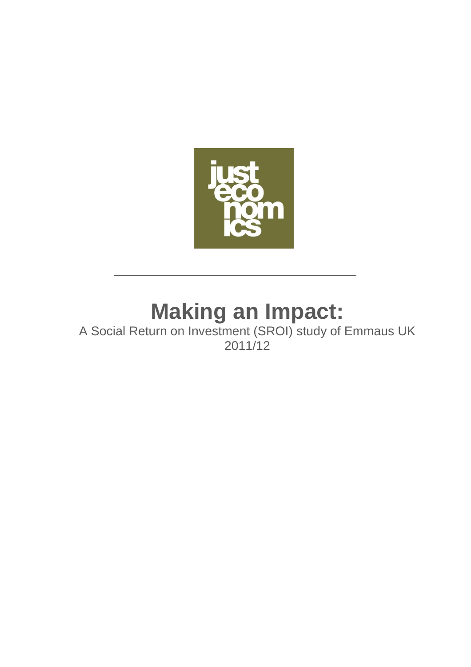

# **Making an Impact:**

A Social Return on Investment (SROI) study of Emmaus UK 2011/12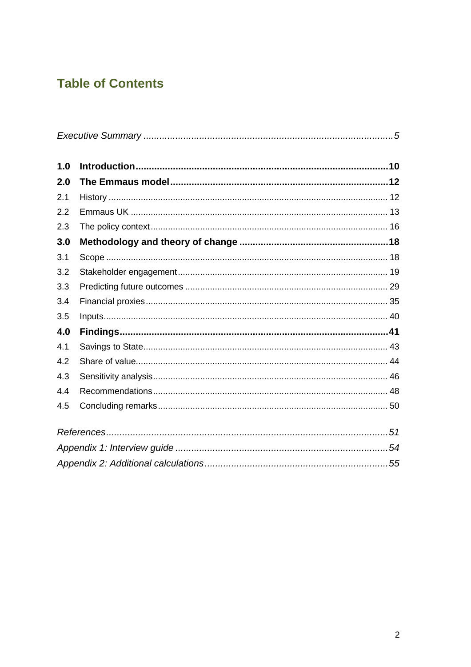# **Table of Contents**

| 1.0 |  |  |  |  |
|-----|--|--|--|--|
| 2.0 |  |  |  |  |
| 2.1 |  |  |  |  |
| 2.2 |  |  |  |  |
| 2.3 |  |  |  |  |
| 3.0 |  |  |  |  |
| 3.1 |  |  |  |  |
| 3.2 |  |  |  |  |
| 3.3 |  |  |  |  |
| 3.4 |  |  |  |  |
| 3.5 |  |  |  |  |
| 4.0 |  |  |  |  |
| 4.1 |  |  |  |  |
| 4.2 |  |  |  |  |
| 4.3 |  |  |  |  |
| 4.4 |  |  |  |  |
| 4.5 |  |  |  |  |
|     |  |  |  |  |
|     |  |  |  |  |
|     |  |  |  |  |
|     |  |  |  |  |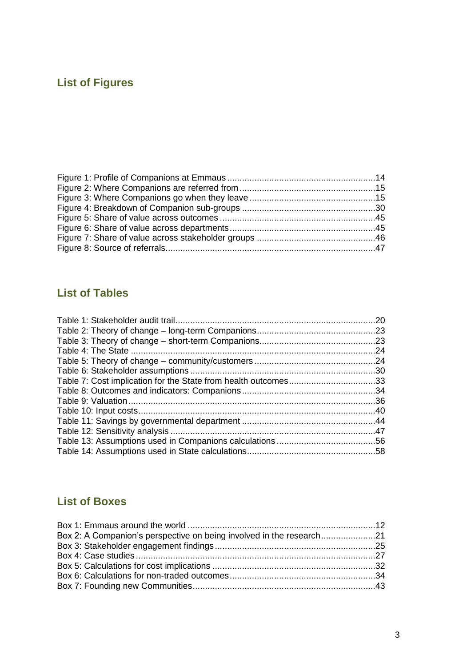# **List of Figures**

# **List of Tables**

|                                                                | .20 |
|----------------------------------------------------------------|-----|
|                                                                |     |
|                                                                |     |
|                                                                | .24 |
|                                                                |     |
|                                                                |     |
| Table 7: Cost implication for the State from health outcomes33 |     |
|                                                                |     |
|                                                                |     |
|                                                                |     |
|                                                                |     |
|                                                                |     |
|                                                                |     |
|                                                                |     |

# **List of Boxes**

| Box 2: A Companion's perspective on being involved in the research |  |
|--------------------------------------------------------------------|--|
|                                                                    |  |
|                                                                    |  |
|                                                                    |  |
|                                                                    |  |
|                                                                    |  |
|                                                                    |  |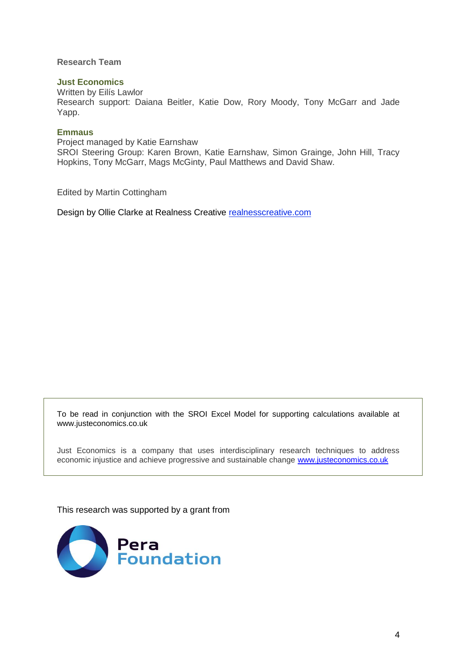#### **Research Team**

### **Just Economics**

Written by Eilís Lawlor Research support: Daiana Beitler, Katie Dow, Rory Moody, Tony McGarr and Jade Yapp.

#### **Emmaus**

Project managed by Katie Earnshaw SROI Steering Group: Karen Brown, Katie Earnshaw, Simon Grainge, John Hill, Tracy Hopkins, Tony McGarr, Mags McGinty, Paul Matthews and David Shaw.

Edited by Martin Cottingham

Design by Ollie Clarke at Realness Creative [realnesscreative.com](http://realnesscreative.com/)

To be read in conjunction with the SROI Excel Model for supporting calculations available at www.justeconomics.co.uk

Just Economics is a company that uses interdisciplinary research techniques to address economic injustice and achieve progressive and sustainable change [www.justeconomics.co.uk](http://www.justeconomics.co.uk/)

This research was supported by a grant from

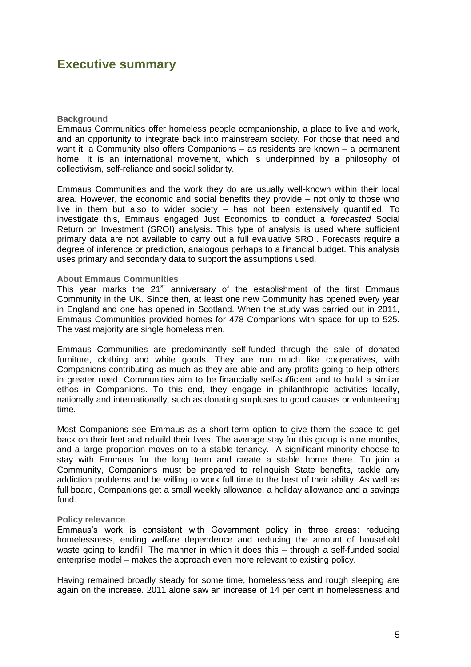# **Executive summary**

#### **Background**

Emmaus Communities offer homeless people companionship, a place to live and work, and an opportunity to integrate back into mainstream society. For those that need and want it, a Community also offers Companions – as residents are known – a permanent home. It is an international movement, which is underpinned by a philosophy of collectivism, self-reliance and social solidarity.

Emmaus Communities and the work they do are usually well-known within their local area. However, the economic and social benefits they provide – not only to those who live in them but also to wider society – has not been extensively quantified. To investigate this, Emmaus engaged Just Economics to conduct a *forecasted* Social Return on Investment (SROI) analysis. This type of analysis is used where sufficient primary data are not available to carry out a full evaluative SROI. Forecasts require a degree of inference or prediction, analogous perhaps to a financial budget. This analysis uses primary and secondary data to support the assumptions used.

#### **About Emmaus Communities**

This year marks the  $21<sup>st</sup>$  anniversary of the establishment of the first Emmaus Community in the UK. Since then, at least one new Community has opened every year in England and one has opened in Scotland. When the study was carried out in 2011, Emmaus Communities provided homes for 478 Companions with space for up to 525. The vast majority are single homeless men.

Emmaus Communities are predominantly self-funded through the sale of donated furniture, clothing and white goods. They are run much like cooperatives, with Companions contributing as much as they are able and any profits going to help others in greater need. Communities aim to be financially self-sufficient and to build a similar ethos in Companions. To this end, they engage in philanthropic activities locally, nationally and internationally, such as donating surpluses to good causes or volunteering time.

Most Companions see Emmaus as a short-term option to give them the space to get back on their feet and rebuild their lives. The average stay for this group is nine months, and a large proportion moves on to a stable tenancy. A significant minority choose to stay with Emmaus for the long term and create a stable home there. To join a Community, Companions must be prepared to relinquish State benefits, tackle any addiction problems and be willing to work full time to the best of their ability. As well as full board, Companions get a small weekly allowance, a holiday allowance and a savings fund.

#### **Policy relevance**

Emmaus's work is consistent with Government policy in three areas: reducing homelessness, ending welfare dependence and reducing the amount of household waste going to landfill. The manner in which it does this – through a self-funded social enterprise model – makes the approach even more relevant to existing policy.

Having remained broadly steady for some time, homelessness and rough sleeping are again on the increase. 2011 alone saw an increase of 14 per cent in homelessness and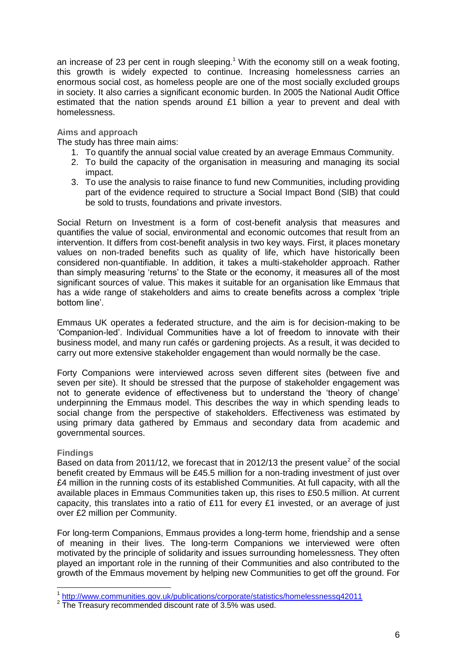an increase of 23 per cent in rough sleeping.<sup>1</sup> With the economy still on a weak footing, this growth is widely expected to continue. Increasing homelessness carries an enormous social cost, as homeless people are one of the most socially excluded groups in society. It also carries a significant economic burden. In 2005 the National Audit Office estimated that the nation spends around £1 billion a year to prevent and deal with homelessness.

#### **Aims and approach**

The study has three main aims:

- 1. To quantify the annual social value created by an average Emmaus Community.
- 2. To build the capacity of the organisation in measuring and managing its social impact.
- 3. To use the analysis to raise finance to fund new Communities, including providing part of the evidence required to structure a Social Impact Bond (SIB) that could be sold to trusts, foundations and private investors.

Social Return on Investment is a form of cost-benefit analysis that measures and quantifies the value of social, environmental and economic outcomes that result from an intervention. It differs from cost-benefit analysis in two key ways. First, it places monetary values on non-traded benefits such as quality of life, which have historically been considered non-quantifiable. In addition, it takes a multi-stakeholder approach. Rather than simply measuring 'returns' to the State or the economy, it measures all of the most significant sources of value. This makes it suitable for an organisation like Emmaus that has a wide range of stakeholders and aims to create benefits across a complex 'triple bottom line'.

Emmaus UK operates a federated structure, and the aim is for decision-making to be 'Companion-led'. Individual Communities have a lot of freedom to innovate with their business model, and many run cafés or gardening projects. As a result, it was decided to carry out more extensive stakeholder engagement than would normally be the case.

Forty Companions were interviewed across seven different sites (between five and seven per site). It should be stressed that the purpose of stakeholder engagement was not to generate evidence of effectiveness but to understand the 'theory of change' underpinning the Emmaus model. This describes the way in which spending leads to social change from the perspective of stakeholders. Effectiveness was estimated by using primary data gathered by Emmaus and secondary data from academic and governmental sources.

#### **Findings**

Based on data from 2011/12, we forecast that in 2012/13 the present value<sup>2</sup> of the social benefit created by Emmaus will be £45.5 million for a non-trading investment of just over £4 million in the running costs of its established Communities. At full capacity, with all the available places in Emmaus Communities taken up, this rises to £50.5 million. At current capacity, this translates into a ratio of £11 for every £1 invested, or an average of just over £2 million per Community.

For long-term Companions, Emmaus provides a long-term home, friendship and a sense of meaning in their lives. The long-term Companions we interviewed were often motivated by the principle of solidarity and issues surrounding homelessness. They often played an important role in the running of their Communities and also contributed to the growth of the Emmaus movement by helping new Communities to get off the ground. For

 1 <http://www.communities.gov.uk/publications/corporate/statistics/homelessnessq42011>

 $2$  The Treasury recommended discount rate of 3.5% was used.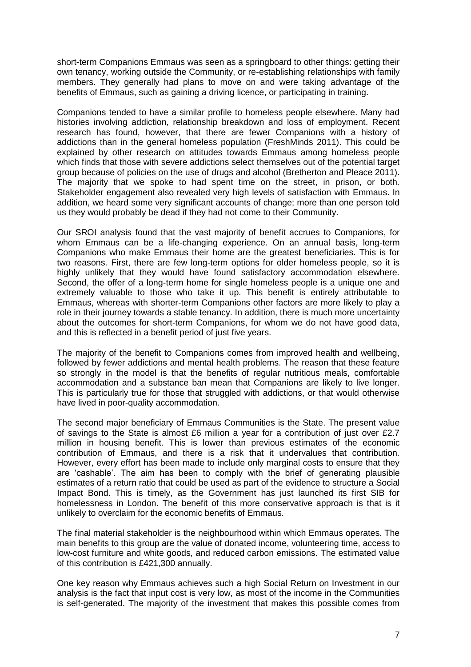short-term Companions Emmaus was seen as a springboard to other things: getting their own tenancy, working outside the Community, or re-establishing relationships with family members. They generally had plans to move on and were taking advantage of the benefits of Emmaus, such as gaining a driving licence, or participating in training.

Companions tended to have a similar profile to homeless people elsewhere. Many had histories involving addiction, relationship breakdown and loss of employment. Recent research has found, however, that there are fewer Companions with a history of addictions than in the general homeless population (FreshMinds 2011). This could be explained by other research on attitudes towards Emmaus among homeless people which finds that those with severe addictions select themselves out of the potential target group because of policies on the use of drugs and alcohol (Bretherton and Pleace 2011). The majority that we spoke to had spent time on the street, in prison, or both. Stakeholder engagement also revealed very high levels of satisfaction with Emmaus. In addition, we heard some very significant accounts of change; more than one person told us they would probably be dead if they had not come to their Community.

Our SROI analysis found that the vast majority of benefit accrues to Companions, for whom Emmaus can be a life-changing experience. On an annual basis, long-term Companions who make Emmaus their home are the greatest beneficiaries. This is for two reasons. First, there are few long-term options for older homeless people, so it is highly unlikely that they would have found satisfactory accommodation elsewhere. Second, the offer of a long-term home for single homeless people is a unique one and extremely valuable to those who take it up. This benefit is entirely attributable to Emmaus, whereas with shorter-term Companions other factors are more likely to play a role in their journey towards a stable tenancy. In addition, there is much more uncertainty about the outcomes for short-term Companions, for whom we do not have good data, and this is reflected in a benefit period of just five years.

The majority of the benefit to Companions comes from improved health and wellbeing, followed by fewer addictions and mental health problems. The reason that these feature so strongly in the model is that the benefits of regular nutritious meals, comfortable accommodation and a substance ban mean that Companions are likely to live longer. This is particularly true for those that struggled with addictions, or that would otherwise have lived in poor-quality accommodation.

The second major beneficiary of Emmaus Communities is the State. The present value of savings to the State is almost £6 million a year for a contribution of just over £2.7 million in housing benefit. This is lower than previous estimates of the economic contribution of Emmaus, and there is a risk that it undervalues that contribution. However, every effort has been made to include only marginal costs to ensure that they are 'cashable'. The aim has been to comply with the brief of generating plausible estimates of a return ratio that could be used as part of the evidence to structure a Social Impact Bond. This is timely, as the Government has just launched its first SIB for homelessness in London. The benefit of this more conservative approach is that is it unlikely to overclaim for the economic benefits of Emmaus.

The final material stakeholder is the neighbourhood within which Emmaus operates. The main benefits to this group are the value of donated income, volunteering time, access to low-cost furniture and white goods, and reduced carbon emissions. The estimated value of this contribution is £421,300 annually.

One key reason why Emmaus achieves such a high Social Return on Investment in our analysis is the fact that input cost is very low, as most of the income in the Communities is self-generated. The majority of the investment that makes this possible comes from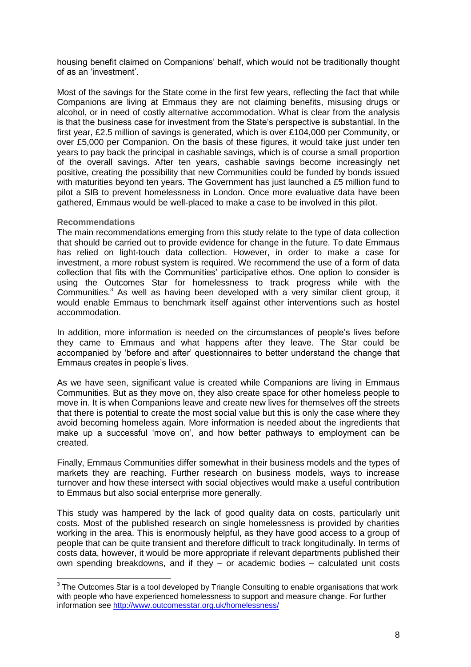housing benefit claimed on Companions' behalf, which would not be traditionally thought of as an 'investment'.

Most of the savings for the State come in the first few years, reflecting the fact that while Companions are living at Emmaus they are not claiming benefits, misusing drugs or alcohol, or in need of costly alternative accommodation. What is clear from the analysis is that the business case for investment from the State's perspective is substantial. In the first year, £2.5 million of savings is generated, which is over £104,000 per Community, or over £5,000 per Companion. On the basis of these figures, it would take just under ten years to pay back the principal in cashable savings, which is of course a small proportion of the overall savings. After ten years, cashable savings become increasingly net positive, creating the possibility that new Communities could be funded by bonds issued with maturities beyond ten years. The Government has just launched a £5 million fund to pilot a SIB to prevent homelessness in London. Once more evaluative data have been gathered, Emmaus would be well-placed to make a case to be involved in this pilot.

#### **Recommendations**

 $\overline{\phantom{a}}$ 

The main recommendations emerging from this study relate to the type of data collection that should be carried out to provide evidence for change in the future. To date Emmaus has relied on light-touch data collection. However, in order to make a case for investment, a more robust system is required. We recommend the use of a form of data collection that fits with the Communities' participative ethos. One option to consider is using the Outcomes Star for homelessness to track progress while with the Communities.<sup>3</sup> As well as having been developed with a very similar client group, it would enable Emmaus to benchmark itself against other interventions such as hostel accommodation.

In addition, more information is needed on the circumstances of people's lives before they came to Emmaus and what happens after they leave. The Star could be accompanied by 'before and after' questionnaires to better understand the change that Emmaus creates in people's lives.

As we have seen, significant value is created while Companions are living in Emmaus Communities. But as they move on, they also create space for other homeless people to move in. It is when Companions leave and create new lives for themselves off the streets that there is potential to create the most social value but this is only the case where they avoid becoming homeless again. More information is needed about the ingredients that make up a successful 'move on', and how better pathways to employment can be created.

Finally, Emmaus Communities differ somewhat in their business models and the types of markets they are reaching. Further research on business models, ways to increase turnover and how these intersect with social objectives would make a useful contribution to Emmaus but also social enterprise more generally.

This study was hampered by the lack of good quality data on costs, particularly unit costs. Most of the published research on single homelessness is provided by charities working in the area. This is enormously helpful, as they have good access to a group of people that can be quite transient and therefore difficult to track longitudinally. In terms of costs data, however, it would be more appropriate if relevant departments published their own spending breakdowns, and if they – or academic bodies – calculated unit costs

 $^3$  The Outcomes Star is a tool developed by Triangle Consulting to enable organisations that work with people who have experienced homelessness to support and measure change. For further information see<http://www.outcomesstar.org.uk/homelessness/>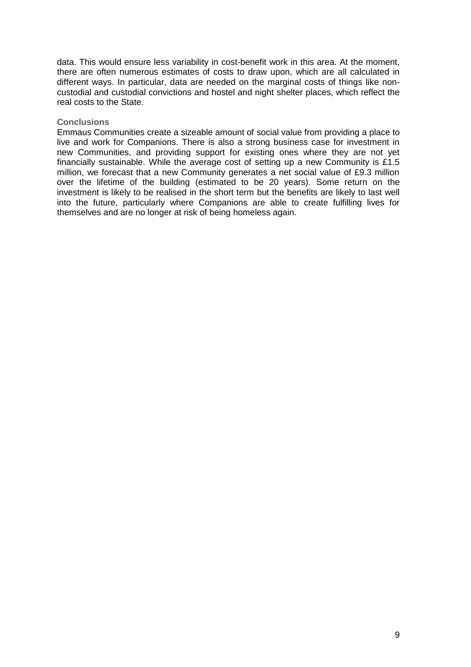data. This would ensure less variability in cost-benefit work in this area. At the moment, there are often numerous estimates of costs to draw upon, which are all calculated in different ways. In particular, data are needed on the marginal costs of things like noncustodial and custodial convictions and hostel and night shelter places, which reflect the real costs to the State.

#### **Conclusions**

Emmaus Communities create a sizeable amount of social value from providing a place to live and work for Companions. There is also a strong business case for investment in new Communities, and providing support for existing ones where they are not yet financially sustainable. While the average cost of setting up a new Community is £1.5 million, we forecast that a new Community generates a net social value of £9.3 million over the lifetime of the building (estimated to be 20 years). Some return on the investment is likely to be realised in the short term but the benefits are likely to last well into the future, particularly where Companions are able to create fulfilling lives for themselves and are no longer at risk of being homeless again.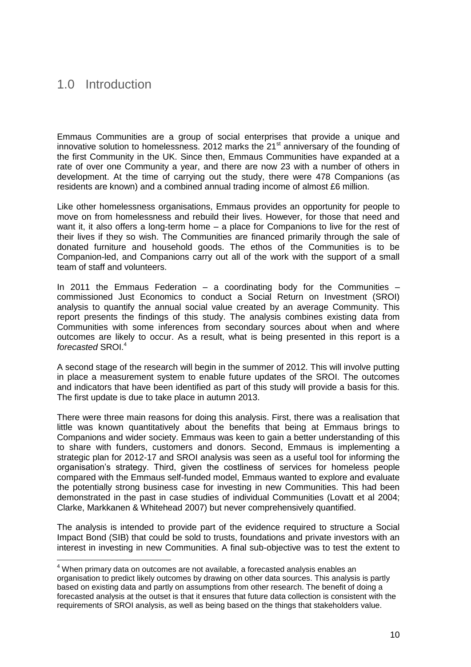# 1.0 Introduction

 $\overline{\phantom{a}}$ 

Emmaus Communities are a group of social enterprises that provide a unique and innovative solution to homelessness. 2012 marks the 21<sup>st</sup> anniversary of the founding of the first Community in the UK. Since then, Emmaus Communities have expanded at a rate of over one Community a year, and there are now 23 with a number of others in development. At the time of carrying out the study, there were 478 Companions (as residents are known) and a combined annual trading income of almost £6 million.

Like other homelessness organisations, Emmaus provides an opportunity for people to move on from homelessness and rebuild their lives. However, for those that need and want it, it also offers a long-term home – a place for Companions to live for the rest of their lives if they so wish. The Communities are financed primarily through the sale of donated furniture and household goods. The ethos of the Communities is to be Companion-led, and Companions carry out all of the work with the support of a small team of staff and volunteers.

In 2011 the Emmaus Federation – a coordinating body for the Communities – commissioned Just Economics to conduct a Social Return on Investment (SROI) analysis to quantify the annual social value created by an average Community. This report presents the findings of this study. The analysis combines existing data from Communities with some inferences from secondary sources about when and where outcomes are likely to occur. As a result, what is being presented in this report is a *forecasted* SROI.<sup>4</sup>

A second stage of the research will begin in the summer of 2012. This will involve putting in place a measurement system to enable future updates of the SROI. The outcomes and indicators that have been identified as part of this study will provide a basis for this. The first update is due to take place in autumn 2013.

There were three main reasons for doing this analysis. First, there was a realisation that little was known quantitatively about the benefits that being at Emmaus brings to Companions and wider society. Emmaus was keen to gain a better understanding of this to share with funders, customers and donors. Second, Emmaus is implementing a strategic plan for 2012-17 and SROI analysis was seen as a useful tool for informing the organisation's strategy. Third, given the costliness of services for homeless people compared with the Emmaus self-funded model, Emmaus wanted to explore and evaluate the potentially strong business case for investing in new Communities. This had been demonstrated in the past in case studies of individual Communities (Lovatt et al 2004; Clarke, Markkanen & Whitehead 2007) but never comprehensively quantified.

The analysis is intended to provide part of the evidence required to structure a Social Impact Bond (SIB) that could be sold to trusts, foundations and private investors with an interest in investing in new Communities. A final sub-objective was to test the extent to

<sup>&</sup>lt;sup>4</sup> When primary data on outcomes are not available, a forecasted analysis enables an organisation to predict likely outcomes by drawing on other data sources. This analysis is partly based on existing data and partly on assumptions from other research. The benefit of doing a forecasted analysis at the outset is that it ensures that future data collection is consistent with the requirements of SROI analysis, as well as being based on the things that stakeholders value.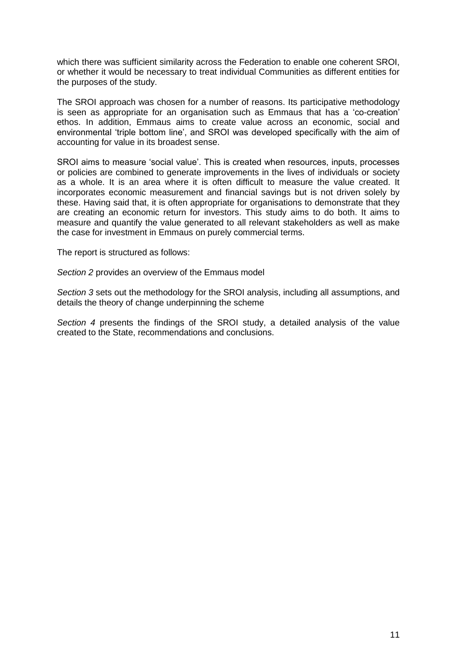which there was sufficient similarity across the Federation to enable one coherent SROI, or whether it would be necessary to treat individual Communities as different entities for the purposes of the study.

The SROI approach was chosen for a number of reasons. Its participative methodology is seen as appropriate for an organisation such as Emmaus that has a 'co-creation' ethos. In addition, Emmaus aims to create value across an economic, social and environmental 'triple bottom line', and SROI was developed specifically with the aim of accounting for value in its broadest sense.

SROI aims to measure 'social value'. This is created when resources, inputs, processes or policies are combined to generate improvements in the lives of individuals or society as a whole. It is an area where it is often difficult to measure the value created. It incorporates economic measurement and financial savings but is not driven solely by these. Having said that, it is often appropriate for organisations to demonstrate that they are creating an economic return for investors. This study aims to do both. It aims to measure and quantify the value generated to all relevant stakeholders as well as make the case for investment in Emmaus on purely commercial terms.

The report is structured as follows:

*Section 2* provides an overview of the Emmaus model

*Section 3* sets out the methodology for the SROI analysis, including all assumptions, and details the theory of change underpinning the scheme

*Section 4* presents the findings of the SROI study, a detailed analysis of the value created to the State, recommendations and conclusions.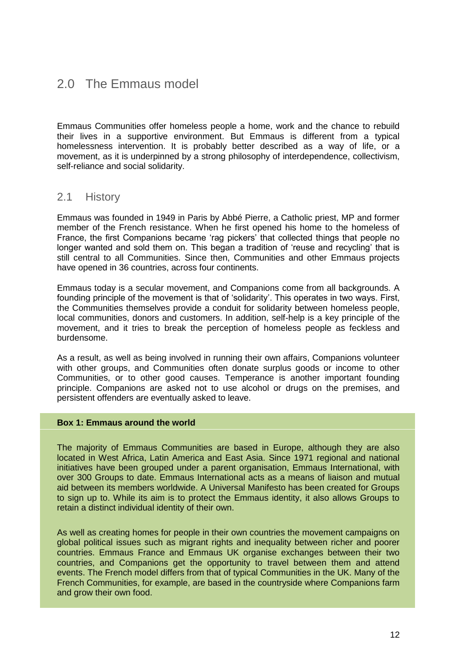# 2.0 The Emmaus model

Emmaus Communities offer homeless people a home, work and the chance to rebuild their lives in a supportive environment. But Emmaus is different from a typical homelessness intervention. It is probably better described as a way of life, or a movement, as it is underpinned by a strong philosophy of interdependence, collectivism, self-reliance and social solidarity.

### 2.1 History

Emmaus was founded in 1949 in Paris by Abbé Pierre, a Catholic priest, MP and former member of the French resistance. When he first opened his home to the homeless of France, the first Companions became 'rag pickers' that collected things that people no longer wanted and sold them on. This began a tradition of 'reuse and recycling' that is still central to all Communities. Since then, Communities and other Emmaus projects have opened in 36 countries, across four continents.

Emmaus today is a secular movement, and Companions come from all backgrounds. A founding principle of the movement is that of 'solidarity'. This operates in two ways. First, the Communities themselves provide a conduit for solidarity between homeless people, local communities, donors and customers. In addition, self-help is a key principle of the movement, and it tries to break the perception of homeless people as feckless and burdensome.

As a result, as well as being involved in running their own affairs, Companions volunteer with other groups, and Communities often donate surplus goods or income to other Communities, or to other good causes. Temperance is another important founding principle. Companions are asked not to use alcohol or drugs on the premises, and persistent offenders are eventually asked to leave.

#### **Box 1: Emmaus around the world**

The majority of Emmaus Communities are based in Europe, although they are also located in West Africa, Latin America and East Asia. Since 1971 regional and national initiatives have been grouped under a parent organisation, Emmaus International, with over 300 Groups to date. Emmaus International acts as a means of liaison and mutual aid between its members worldwide. A Universal Manifesto has been created for Groups to sign up to. While its aim is to protect the Emmaus identity, it also allows Groups to retain a distinct individual identity of their own.

As well as creating homes for people in their own countries the movement campaigns on global political issues such as migrant rights and inequality between richer and poorer countries. Emmaus France and Emmaus UK organise exchanges between their two countries, and Companions get the opportunity to travel between them and attend events. The French model differs from that of typical Communities in the UK. Many of the French Communities, for example, are based in the countryside where Companions farm and grow their own food.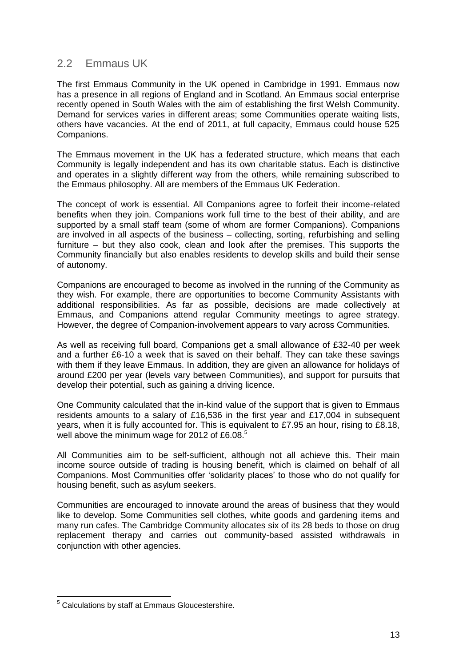# 2.2 Emmaus UK

The first Emmaus Community in the UK opened in Cambridge in 1991. Emmaus now has a presence in all regions of England and in Scotland. An Emmaus social enterprise recently opened in South Wales with the aim of establishing the first Welsh Community. Demand for services varies in different areas; some Communities operate waiting lists, others have vacancies. At the end of 2011, at full capacity, Emmaus could house 525 Companions.

The Emmaus movement in the UK has a federated structure, which means that each Community is legally independent and has its own charitable status. Each is distinctive and operates in a slightly different way from the others, while remaining subscribed to the Emmaus philosophy. All are members of the Emmaus UK Federation.

The concept of work is essential. All Companions agree to forfeit their income-related benefits when they join. Companions work full time to the best of their ability, and are supported by a small staff team (some of whom are former Companions). Companions are involved in all aspects of the business – collecting, sorting, refurbishing and selling furniture – but they also cook, clean and look after the premises. This supports the Community financially but also enables residents to develop skills and build their sense of autonomy.

Companions are encouraged to become as involved in the running of the Community as they wish. For example, there are opportunities to become Community Assistants with additional responsibilities. As far as possible, decisions are made collectively at Emmaus, and Companions attend regular Community meetings to agree strategy. However, the degree of Companion-involvement appears to vary across Communities.

As well as receiving full board, Companions get a small allowance of £32-40 per week and a further £6-10 a week that is saved on their behalf. They can take these savings with them if they leave Emmaus. In addition, they are given an allowance for holidays of around £200 per year (levels vary between Communities), and support for pursuits that develop their potential, such as gaining a driving licence.

One Community calculated that the in-kind value of the support that is given to Emmaus residents amounts to a salary of £16,536 in the first year and £17,004 in subsequent years, when it is fully accounted for. This is equivalent to £7.95 an hour, rising to £8.18, well above the minimum wage for 2012 of £6.08. $^5$ 

All Communities aim to be self-sufficient, although not all achieve this. Their main income source outside of trading is housing benefit, which is claimed on behalf of all Companions. Most Communities offer 'solidarity places' to those who do not qualify for housing benefit, such as asylum seekers.

Communities are encouraged to innovate around the areas of business that they would like to develop. Some Communities sell clothes, white goods and gardening items and many run cafes. The Cambridge Community allocates six of its 28 beds to those on drug replacement therapy and carries out community-based assisted withdrawals in conjunction with other agencies.

 $\overline{a}$  $5$  Calculations by staff at Emmaus Gloucestershire.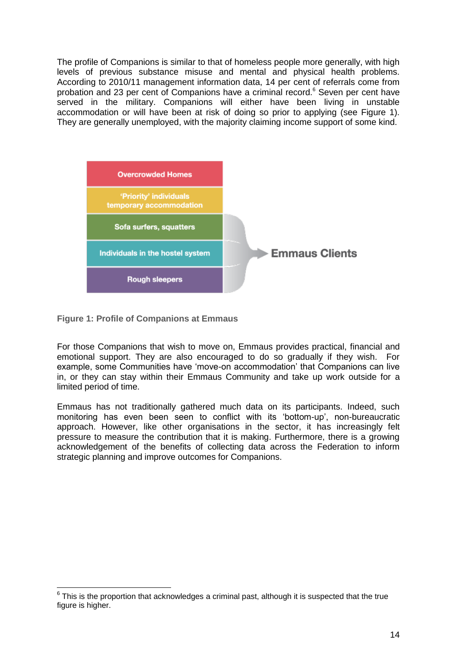The profile of Companions is similar to that of homeless people more generally, with high levels of previous substance misuse and mental and physical health problems. According to 2010/11 management information data, 14 per cent of referrals come from probation and 23 per cent of Companions have a criminal record.<sup>6</sup> Seven per cent have served in the military. Companions will either have been living in unstable accommodation or will have been at risk of doing so prior to applying (see Figure 1). They are generally unemployed, with the majority claiming income support of some kind.



**Figure 1: Profile of Companions at Emmaus**

For those Companions that wish to move on, Emmaus provides practical, financial and emotional support. They are also encouraged to do so gradually if they wish. For example, some Communities have 'move-on accommodation' that Companions can live in, or they can stay within their Emmaus Community and take up work outside for a limited period of time.

Emmaus has not traditionally gathered much data on its participants. Indeed, such monitoring has even been seen to conflict with its 'bottom-up', non-bureaucratic approach. However, like other organisations in the sector, it has increasingly felt pressure to measure the contribution that it is making. Furthermore, there is a growing acknowledgement of the benefits of collecting data across the Federation to inform strategic planning and improve outcomes for Companions.

 6 This is the proportion that acknowledges a criminal past, although it is suspected that the true figure is higher.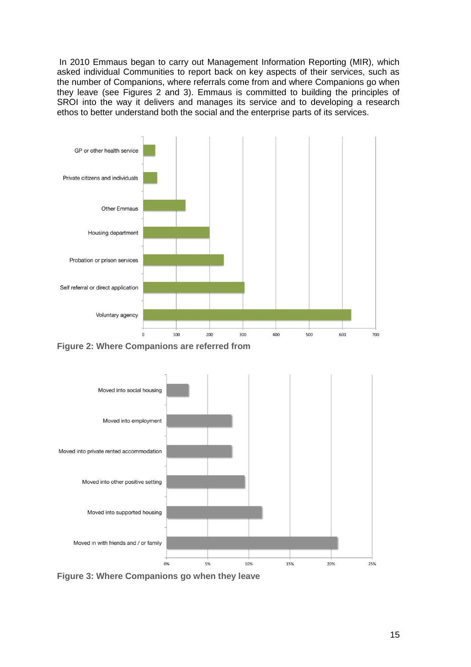In 2010 Emmaus began to carry out Management Information Reporting (MIR), which asked individual Communities to report back on key aspects of their services, such as the number of Companions, where referrals come from and where Companions go when they leave (see Figures 2 and 3). Emmaus is committed to building the principles of SROI into the way it delivers and manages its service and to developing a research ethos to better understand both the social and the enterprise parts of its services.



**Figure 2: Where Companions are referred from**



**Figure 3: Where Companions go when they leave**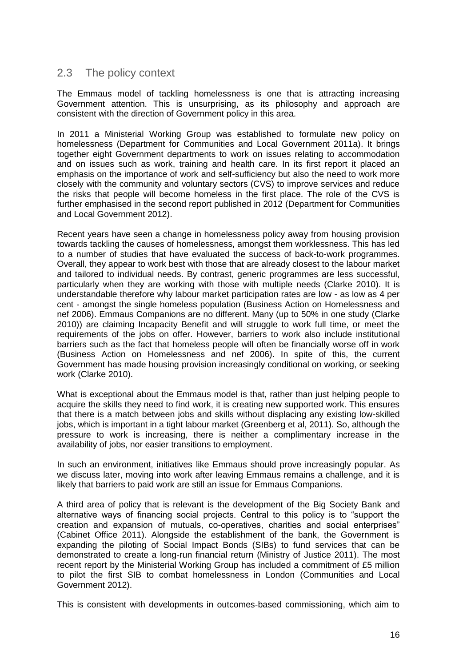# 2.3 The policy context

The Emmaus model of tackling homelessness is one that is attracting increasing Government attention. This is unsurprising, as its philosophy and approach are consistent with the direction of Government policy in this area.

In 2011 a Ministerial Working Group was established to formulate new policy on homelessness (Department for Communities and Local Government 2011a). It brings together eight Government departments to work on issues relating to accommodation and on issues such as work, training and health care. In its first report it placed an emphasis on the importance of work and self-sufficiency but also the need to work more closely with the community and voluntary sectors (CVS) to improve services and reduce the risks that people will become homeless in the first place. The role of the CVS is further emphasised in the second report published in 2012 (Department for Communities and Local Government 2012).

Recent years have seen a change in homelessness policy away from housing provision towards tackling the causes of homelessness, amongst them worklessness. This has led to a number of studies that have evaluated the success of back-to-work programmes. Overall, they appear to work best with those that are already closest to the labour market and tailored to individual needs. By contrast, generic programmes are less successful, particularly when they are working with those with multiple needs (Clarke 2010). It is understandable therefore why labour market participation rates are low - as low as 4 per cent - amongst the single homeless population (Business Action on Homelessness and nef 2006). Emmaus Companions are no different. Many (up to 50% in one study (Clarke 2010)) are claiming Incapacity Benefit and will struggle to work full time, or meet the requirements of the jobs on offer. However, barriers to work also include institutional barriers such as the fact that homeless people will often be financially worse off in work (Business Action on Homelessness and nef 2006). In spite of this, the current Government has made housing provision increasingly conditional on working, or seeking work (Clarke 2010).

What is exceptional about the Emmaus model is that, rather than just helping people to acquire the skills they need to find work, it is creating new supported work. This ensures that there is a match between jobs and skills without displacing any existing low-skilled jobs, which is important in a tight labour market (Greenberg et al, 2011). So, although the pressure to work is increasing, there is neither a complimentary increase in the availability of jobs, nor easier transitions to employment.

In such an environment, initiatives like Emmaus should prove increasingly popular. As we discuss later, moving into work after leaving Emmaus remains a challenge, and it is likely that barriers to paid work are still an issue for Emmaus Companions.

A third area of policy that is relevant is the development of the Big Society Bank and alternative ways of financing social projects. Central to this policy is to "support the creation and expansion of mutuals, co-operatives, charities and social enterprises" (Cabinet Office 2011). Alongside the establishment of the bank, the Government is expanding the piloting of Social Impact Bonds (SIBs) to fund services that can be demonstrated to create a long-run financial return (Ministry of Justice 2011). The most recent report by the Ministerial Working Group has included a commitment of £5 million to pilot the first SIB to combat homelessness in London (Communities and Local Government 2012).

This is consistent with developments in outcomes-based commissioning, which aim to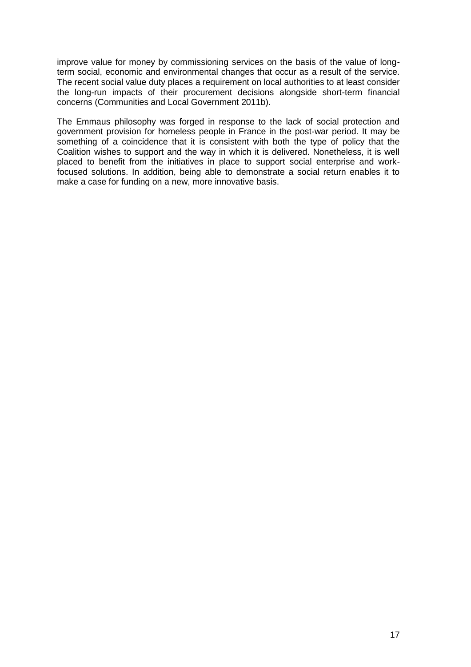improve value for money by commissioning services on the basis of the value of longterm social, economic and environmental changes that occur as a result of the service. The recent social value duty places a requirement on local authorities to at least consider the long-run impacts of their procurement decisions alongside short-term financial concerns (Communities and Local Government 2011b).

The Emmaus philosophy was forged in response to the lack of social protection and government provision for homeless people in France in the post-war period. It may be something of a coincidence that it is consistent with both the type of policy that the Coalition wishes to support and the way in which it is delivered. Nonetheless, it is well placed to benefit from the initiatives in place to support social enterprise and workfocused solutions. In addition, being able to demonstrate a social return enables it to make a case for funding on a new, more innovative basis.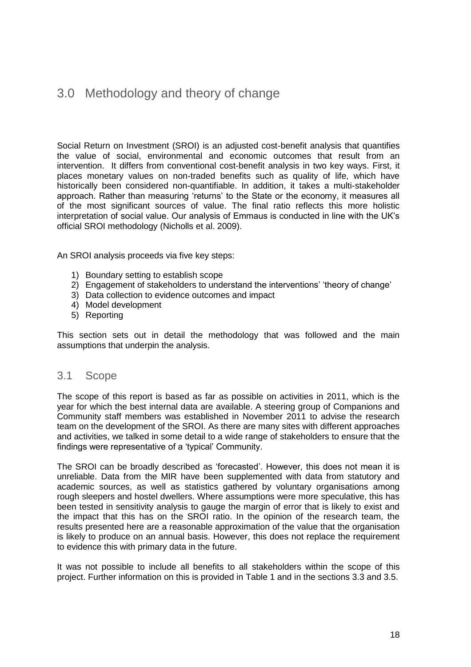# 3.0 Methodology and theory of change

Social Return on Investment (SROI) is an adjusted cost-benefit analysis that quantifies the value of social, environmental and economic outcomes that result from an intervention. It differs from conventional cost-benefit analysis in two key ways. First, it places monetary values on non-traded benefits such as quality of life, which have historically been considered non-quantifiable. In addition, it takes a multi-stakeholder approach. Rather than measuring 'returns' to the State or the economy, it measures all of the most significant sources of value. The final ratio reflects this more holistic interpretation of social value. Our analysis of Emmaus is conducted in line with the UK's official SROI methodology (Nicholls et al. 2009).

An SROI analysis proceeds via five key steps:

- 1) Boundary setting to establish scope
- 2) Engagement of stakeholders to understand the interventions' 'theory of change'
- 3) Data collection to evidence outcomes and impact
- 4) Model development
- 5) Reporting

This section sets out in detail the methodology that was followed and the main assumptions that underpin the analysis.

### 3.1 Scope

The scope of this report is based as far as possible on activities in 2011, which is the year for which the best internal data are available. A steering group of Companions and Community staff members was established in November 2011 to advise the research team on the development of the SROI. As there are many sites with different approaches and activities, we talked in some detail to a wide range of stakeholders to ensure that the findings were representative of a 'typical' Community.

The SROI can be broadly described as 'forecasted'. However, this does not mean it is unreliable. Data from the MIR have been supplemented with data from statutory and academic sources, as well as statistics gathered by voluntary organisations among rough sleepers and hostel dwellers. Where assumptions were more speculative, this has been tested in sensitivity analysis to gauge the margin of error that is likely to exist and the impact that this has on the SROI ratio. In the opinion of the research team, the results presented here are a reasonable approximation of the value that the organisation is likely to produce on an annual basis. However, this does not replace the requirement to evidence this with primary data in the future.

It was not possible to include all benefits to all stakeholders within the scope of this project. Further information on this is provided in Table 1 and in the sections 3.3 and 3.5.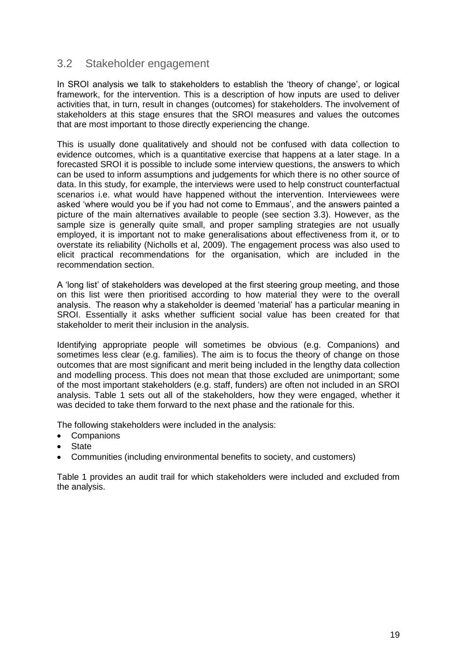# 3.2 Stakeholder engagement

In SROI analysis we talk to stakeholders to establish the 'theory of change', or logical framework, for the intervention. This is a description of how inputs are used to deliver activities that, in turn, result in changes (outcomes) for stakeholders. The involvement of stakeholders at this stage ensures that the SROI measures and values the outcomes that are most important to those directly experiencing the change.

This is usually done qualitatively and should not be confused with data collection to evidence outcomes, which is a quantitative exercise that happens at a later stage. In a forecasted SROI it is possible to include some interview questions, the answers to which can be used to inform assumptions and judgements for which there is no other source of data. In this study, for example, the interviews were used to help construct counterfactual scenarios i.e. what would have happened without the intervention. Interviewees were asked 'where would you be if you had not come to Emmaus', and the answers painted a picture of the main alternatives available to people (see section 3.3). However, as the sample size is generally quite small, and proper sampling strategies are not usually employed, it is important not to make generalisations about effectiveness from it, or to overstate its reliability (Nicholls et al, 2009). The engagement process was also used to elicit practical recommendations for the organisation, which are included in the recommendation section.

A 'long list' of stakeholders was developed at the first steering group meeting, and those on this list were then prioritised according to how material they were to the overall analysis. The reason why a stakeholder is deemed 'material' has a particular meaning in SROI. Essentially it asks whether sufficient social value has been created for that stakeholder to merit their inclusion in the analysis.

Identifying appropriate people will sometimes be obvious (e.g. Companions) and sometimes less clear (e.g. families). The aim is to focus the theory of change on those outcomes that are most significant and merit being included in the lengthy data collection and modelling process. This does not mean that those excluded are unimportant; some of the most important stakeholders (e.g. staff, funders) are often not included in an SROI analysis. Table 1 sets out all of the stakeholders, how they were engaged, whether it was decided to take them forward to the next phase and the rationale for this.

The following stakeholders were included in the analysis:

- Companions
- **State**
- Communities (including environmental benefits to society, and customers)

Table 1 provides an audit trail for which stakeholders were included and excluded from the analysis.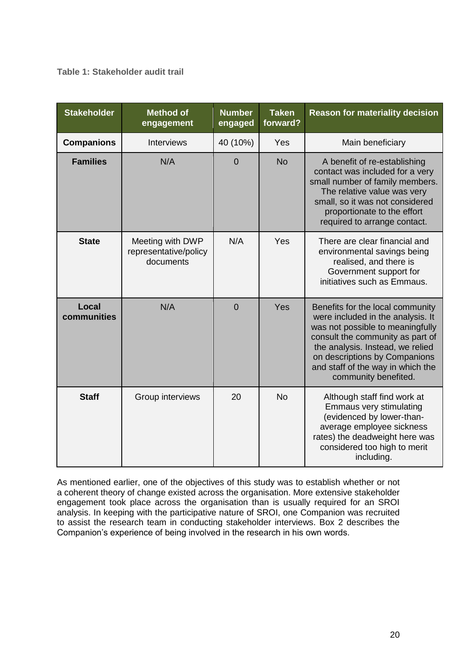### **Table 1: Stakeholder audit trail**

| <b>Stakeholder</b>   | <b>Method of</b><br>engagement                         | <b>Number</b><br>engaged | <b>Taken</b><br>forward? | <b>Reason for materiality decision</b>                                                                                                                                                                                                                                          |  |
|----------------------|--------------------------------------------------------|--------------------------|--------------------------|---------------------------------------------------------------------------------------------------------------------------------------------------------------------------------------------------------------------------------------------------------------------------------|--|
| <b>Companions</b>    | <b>Interviews</b>                                      | 40 (10%)                 | Yes                      | Main beneficiary                                                                                                                                                                                                                                                                |  |
| <b>Families</b>      | N/A                                                    | $\overline{0}$           | <b>No</b>                | A benefit of re-establishing<br>contact was included for a very<br>small number of family members.<br>The relative value was very<br>small, so it was not considered<br>proportionate to the effort<br>required to arrange contact.                                             |  |
| <b>State</b>         | Meeting with DWP<br>representative/policy<br>documents | N/A                      | Yes                      | There are clear financial and<br>environmental savings being<br>realised, and there is<br>Government support for<br>initiatives such as Emmaus.                                                                                                                                 |  |
| Local<br>communities | N/A                                                    | $\overline{0}$           | Yes                      | Benefits for the local community<br>were included in the analysis. It<br>was not possible to meaningfully<br>consult the community as part of<br>the analysis. Instead, we relied<br>on descriptions by Companions<br>and staff of the way in which the<br>community benefited. |  |
| <b>Staff</b>         | Group interviews                                       | 20                       | <b>No</b>                | Although staff find work at<br>Emmaus very stimulating<br>(evidenced by lower-than-<br>average employee sickness<br>rates) the deadweight here was<br>considered too high to merit<br>including.                                                                                |  |

As mentioned earlier, one of the objectives of this study was to establish whether or not a coherent theory of change existed across the organisation. More extensive stakeholder engagement took place across the organisation than is usually required for an SROI analysis. In keeping with the participative nature of SROI, one Companion was recruited to assist the research team in conducting stakeholder interviews. Box 2 describes the Companion's experience of being involved in the research in his own words.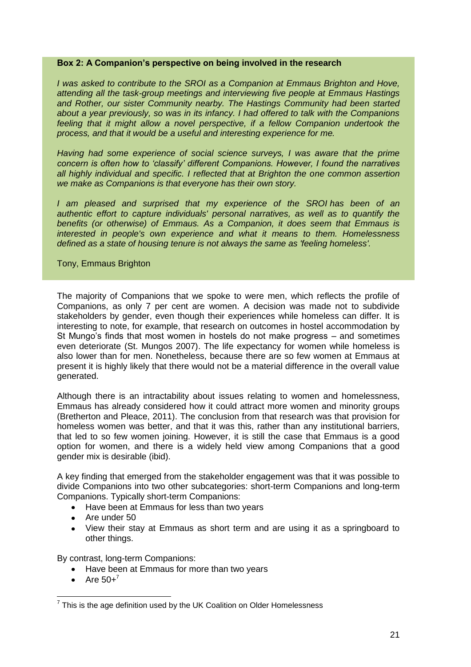#### **Box 2: A Companion's perspective on being involved in the research**

*I was asked to contribute to the SROI as a Companion at Emmaus Brighton and Hove, attending all the task-group meetings and interviewing five people at Emmaus Hastings and Rother, our sister Community nearby. The Hastings Community had been started about a year previously, so was in its infancy. I had offered to talk with the Companions*  feeling that it might allow a novel perspective, if a fellow Companion undertook the *process, and that it would be a useful and interesting experience for me.*

*Having had some experience of social science surveys, I was aware that the prime concern is often how to 'classify' different Companions. However, I found the narratives all highly individual and specific. I reflected that at Brighton the one common assertion we make as Companions is that everyone has their own story.*

*I am pleased and surprised that my experience of the SROI has been of an authentic effort to capture individuals' personal narratives, as well as to quantify the benefits (or otherwise) of Emmaus. As a Companion, it does seem that Emmaus is interested in people's own experience and what it means to them. Homelessness defined as a state of housing tenure is not always the same as 'feeling homeless'.*

Tony, Emmaus Brighton

The majority of Companions that we spoke to were men, which reflects the profile of Companions, as only 7 per cent are women. A decision was made not to subdivide stakeholders by gender, even though their experiences while homeless can differ. It is interesting to note, for example, that research on outcomes in hostel accommodation by St Mungo's finds that most women in hostels do not make progress – and sometimes even deteriorate (St. Mungos 2007). The life expectancy for women while homeless is also lower than for men. Nonetheless, because there are so few women at Emmaus at present it is highly likely that there would not be a material difference in the overall value generated.

Although there is an intractability about issues relating to women and homelessness, Emmaus has already considered how it could attract more women and minority groups (Bretherton and Pleace, 2011). The conclusion from that research was that provision for homeless women was better, and that it was this, rather than any institutional barriers, that led to so few women joining. However, it is still the case that Emmaus is a good option for women, and there is a widely held view among Companions that a good gender mix is desirable (ibid).

A key finding that emerged from the stakeholder engagement was that it was possible to divide Companions into two other subcategories: short-term Companions and long-term Companions. Typically short-term Companions:

- Have been at Emmaus for less than two years
- Are under 50
- View their stay at Emmaus as short term and are using it as a springboard to other things.

By contrast, long-term Companions:

- Have been at Emmaus for more than two vears
- Are  $50+^7$

 7 This is the age definition used by the UK Coalition on Older Homelessness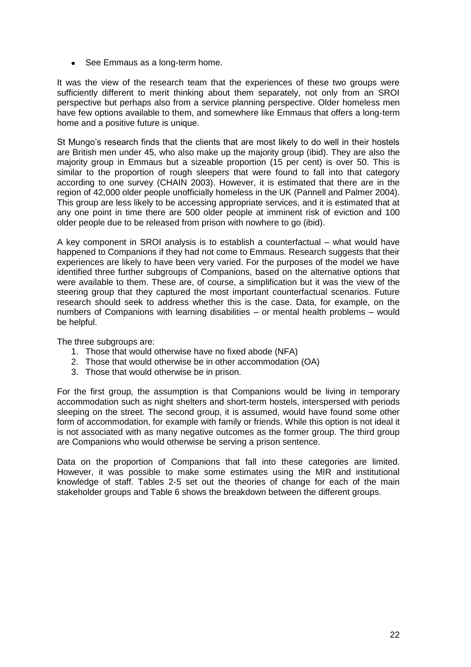• See Emmaus as a long-term home.

It was the view of the research team that the experiences of these two groups were sufficiently different to merit thinking about them separately, not only from an SROI perspective but perhaps also from a service planning perspective. Older homeless men have few options available to them, and somewhere like Emmaus that offers a long-term home and a positive future is unique.

St Mungo's research finds that the clients that are most likely to do well in their hostels are British men under 45, who also make up the majority group (ibid). They are also the majority group in Emmaus but a sizeable proportion (15 per cent) is over 50. This is similar to the proportion of rough sleepers that were found to fall into that category according to one survey (CHAIN 2003). However, it is estimated that there are in the region of 42,000 older people unofficially homeless in the UK (Pannell and Palmer 2004). This group are less likely to be accessing appropriate services, and it is estimated that at any one point in time there are 500 older people at imminent risk of eviction and 100 older people due to be released from prison with nowhere to go (ibid).

A key component in SROI analysis is to establish a counterfactual – what would have happened to Companions if they had not come to Emmaus. Research suggests that their experiences are likely to have been very varied. For the purposes of the model we have identified three further subgroups of Companions, based on the alternative options that were available to them. These are, of course, a simplification but it was the view of the steering group that they captured the most important counterfactual scenarios. Future research should seek to address whether this is the case. Data, for example, on the numbers of Companions with learning disabilities – or mental health problems – would be helpful.

The three subgroups are:

- 1. Those that would otherwise have no fixed abode (NFA)
- 2. Those that would otherwise be in other accommodation (OA)
- 3. Those that would otherwise be in prison.

For the first group, the assumption is that Companions would be living in temporary accommodation such as night shelters and short-term hostels, interspersed with periods sleeping on the street. The second group, it is assumed, would have found some other form of accommodation, for example with family or friends. While this option is not ideal it is not associated with as many negative outcomes as the former group. The third group are Companions who would otherwise be serving a prison sentence.

Data on the proportion of Companions that fall into these categories are limited. However, it was possible to make some estimates using the MIR and institutional knowledge of staff. Tables 2-5 set out the theories of change for each of the main stakeholder groups and Table 6 shows the breakdown between the different groups.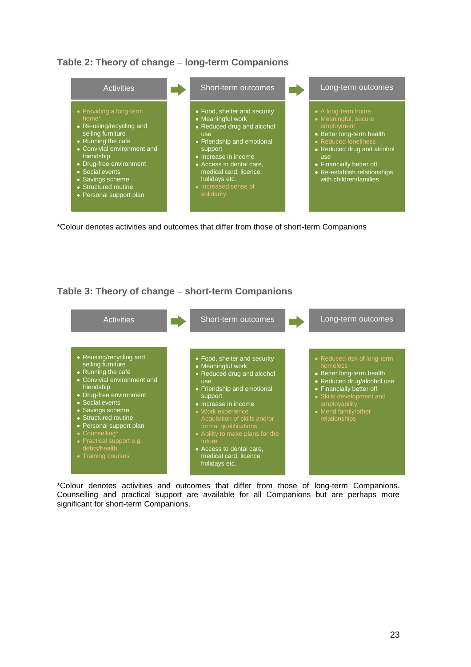



\*Colour denotes activities and outcomes that differ from those of short-term Companions

## **Table 3: Theory of change** – **short-term Companions**



\*Colour denotes activities and outcomes that differ from those of long-term Companions. Counselling and practical support are available for all Companions but are perhaps more significant for short-term Companions.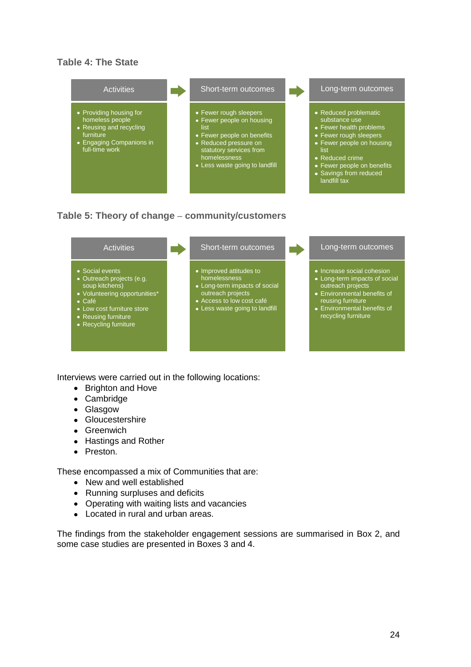## **Table 4: The State**





Interviews were carried out in the following locations:

- Brighton and Hove
- Cambridge
- Glasgow
- Gloucestershire
- **•** Greenwich
- Hastings and Rother
- Preston.

These encompassed a mix of Communities that are:

- New and well established
- Running surpluses and deficits
- Operating with waiting lists and vacancies
- Located in rural and urban areas.

The findings from the stakeholder engagement sessions are summarised in Box 2, and some case studies are presented in Boxes 3 and 4.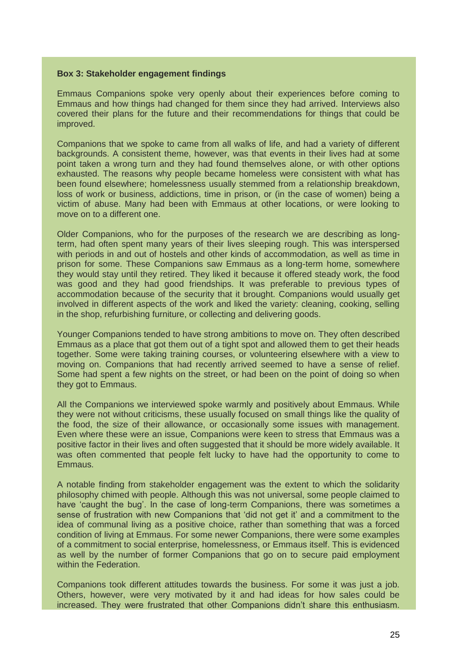#### **Box 3: Stakeholder engagement findings**

Emmaus Companions spoke very openly about their experiences before coming to Emmaus and how things had changed for them since they had arrived. Interviews also covered their plans for the future and their recommendations for things that could be improved.

Companions that we spoke to came from all walks of life, and had a variety of different backgrounds. A consistent theme, however, was that events in their lives had at some point taken a wrong turn and they had found themselves alone, or with other options exhausted. The reasons why people became homeless were consistent with what has been found elsewhere; homelessness usually stemmed from a relationship breakdown, loss of work or business, addictions, time in prison, or (in the case of women) being a victim of abuse. Many had been with Emmaus at other locations, or were looking to move on to a different one.

Older Companions, who for the purposes of the research we are describing as longterm, had often spent many years of their lives sleeping rough. This was interspersed with periods in and out of hostels and other kinds of accommodation, as well as time in prison for some. These Companions saw Emmaus as a long-term home, somewhere they would stay until they retired. They liked it because it offered steady work, the food was good and they had good friendships. It was preferable to previous types of accommodation because of the security that it brought. Companions would usually get involved in different aspects of the work and liked the variety: cleaning, cooking, selling in the shop, refurbishing furniture, or collecting and delivering goods.

Younger Companions tended to have strong ambitions to move on. They often described Emmaus as a place that got them out of a tight spot and allowed them to get their heads together. Some were taking training courses, or volunteering elsewhere with a view to moving on. Companions that had recently arrived seemed to have a sense of relief. Some had spent a few nights on the street, or had been on the point of doing so when they got to Emmaus.

All the Companions we interviewed spoke warmly and positively about Emmaus. While they were not without criticisms, these usually focused on small things like the quality of the food, the size of their allowance, or occasionally some issues with management. Even where these were an issue, Companions were keen to stress that Emmaus was a positive factor in their lives and often suggested that it should be more widely available. It was often commented that people felt lucky to have had the opportunity to come to Emmaus.

A notable finding from stakeholder engagement was the extent to which the solidarity philosophy chimed with people. Although this was not universal, some people claimed to have 'caught the bug'. In the case of long-term Companions, there was sometimes a sense of frustration with new Companions that 'did not get it' and a commitment to the idea of communal living as a positive choice, rather than something that was a forced condition of living at Emmaus. For some newer Companions, there were some examples of a commitment to social enterprise, homelessness, or Emmaus itself. This is evidenced as well by the number of former Companions that go on to secure paid employment within the Federation.

Companions took different attitudes towards the business. For some it was just a job. Others, however, were very motivated by it and had ideas for how sales could be increased. They were frustrated that other Companions didn't share this enthusiasm.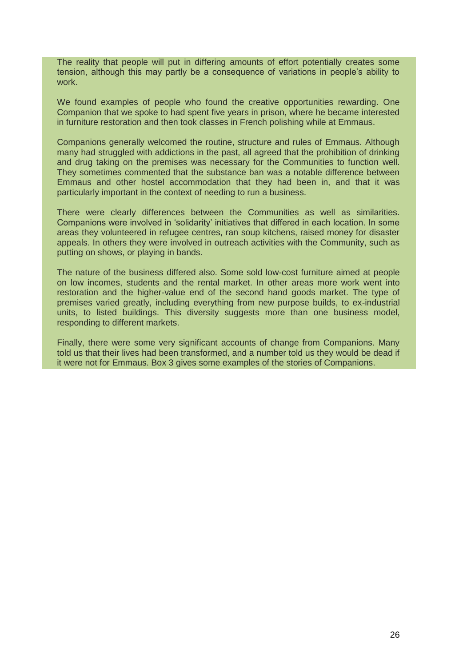The reality that people will put in differing amounts of effort potentially creates some tension, although this may partly be a consequence of variations in people's ability to work.

We found examples of people who found the creative opportunities rewarding. One Companion that we spoke to had spent five years in prison, where he became interested in furniture restoration and then took classes in French polishing while at Emmaus.

Companions generally welcomed the routine, structure and rules of Emmaus. Although many had struggled with addictions in the past, all agreed that the prohibition of drinking and drug taking on the premises was necessary for the Communities to function well. They sometimes commented that the substance ban was a notable difference between Emmaus and other hostel accommodation that they had been in, and that it was particularly important in the context of needing to run a business.

There were clearly differences between the Communities as well as similarities. Companions were involved in 'solidarity' initiatives that differed in each location. In some areas they volunteered in refugee centres, ran soup kitchens, raised money for disaster appeals. In others they were involved in outreach activities with the Community, such as putting on shows, or playing in bands.

The nature of the business differed also. Some sold low-cost furniture aimed at people on low incomes, students and the rental market. In other areas more work went into restoration and the higher-value end of the second hand goods market. The type of premises varied greatly, including everything from new purpose builds, to ex-industrial units, to listed buildings. This diversity suggests more than one business model, responding to different markets.

Finally, there were some very significant accounts of change from Companions. Many told us that their lives had been transformed, and a number told us they would be dead if it were not for Emmaus. Box 3 gives some examples of the stories of Companions.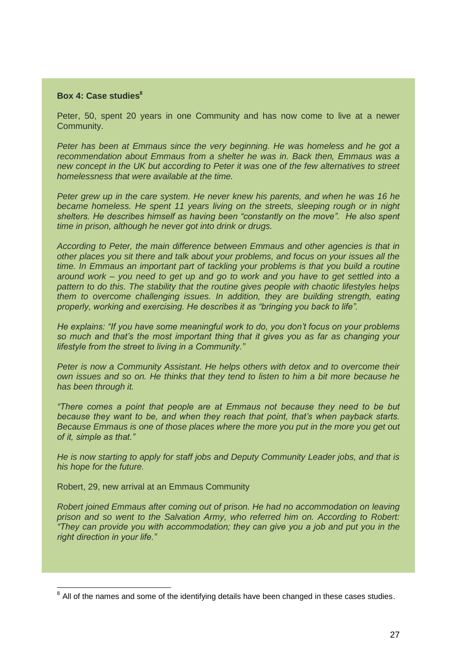#### **Box 4: Case studies<sup>8</sup>**

Peter, 50, spent 20 years in one Community and has now come to live at a newer Community.

*Peter has been at Emmaus since the very beginning. He was homeless and he got a recommendation about Emmaus from a shelter he was in. Back then, Emmaus was a new concept in the UK but according to Peter it was one of the few alternatives to street homelessness that were available at the time.* 

*Peter grew up in the care system. He never knew his parents, and when he was 16 he became homeless. He spent 11 years living on the streets, sleeping rough or in night shelters. He describes himself as having been "constantly on the move". He also spent time in prison, although he never got into drink or drugs.* 

*According to Peter, the main difference between Emmaus and other agencies is that in other places you sit there and talk about your problems, and focus on your issues all the time. In Emmaus an important part of tackling your problems is that you build a routine around work* – *you need to get up and go to work and you have to get settled into a pattern to do this. The stability that the routine gives people with chaotic lifestyles helps them to overcome challenging issues. In addition, they are building strength, eating properly, working and exercising. He describes it as "bringing you back to life".* 

*He explains: "If you have some meaningful work to do, you don't focus on your problems so much and that's the most important thing that it gives you as far as changing your lifestyle from the street to living in a Community."*

*Peter is now a Community Assistant. He helps others with detox and to overcome their own issues and so on. He thinks that they tend to listen to him a bit more because he has been through it.* 

*"There comes a point that people are at Emmaus not because they need to be but because they want to be, and when they reach that point, that's when payback starts. Because Emmaus is one of those places where the more you put in the more you get out of it, simple as that."* 

*He is now starting to apply for staff jobs and Deputy Community Leader jobs, and that is his hope for the future.*

Robert, 29, new arrival at an Emmaus Community

*Robert joined Emmaus after coming out of prison. He had no accommodation on leaving prison and so went to the Salvation Army, who referred him on. According to Robert: "They can provide you with accommodation; they can give you a job and put you in the right direction in your life."* 

**EXECUTE:**<br><sup>8</sup> All of the names and some of the identifying details have been changed in these cases studies.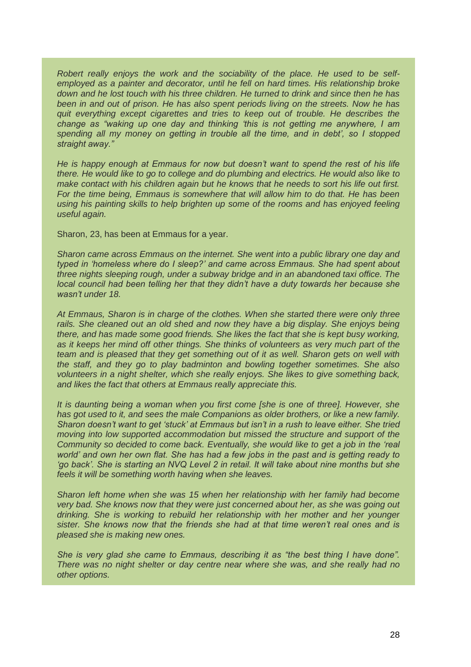*Robert really enjoys the work and the sociability of the place. He used to be selfemployed as a painter and decorator, until he fell on hard times. His relationship broke down and he lost touch with his three children. He turned to drink and since then he has been in and out of prison. He has also spent periods living on the streets. Now he has quit everything except cigarettes and tries to keep out of trouble. He describes the change as "waking up one day and thinking 'this is not getting me anywhere, I am spending all my money on getting in trouble all the time, and in debt', so I stopped straight away."* 

*He is happy enough at Emmaus for now but doesn't want to spend the rest of his life there. He would like to go to college and do plumbing and electrics. He would also like to make contact with his children again but he knows that he needs to sort his life out first. For the time being, Emmaus is somewhere that will allow him to do that. He has been using his painting skills to help brighten up some of the rooms and has enjoyed feeling useful again.*

Sharon, 23, has been at Emmaus for a year.

*Sharon came across Emmaus on the internet. She went into a public library one day and typed in 'homeless where do I sleep?' and came across Emmaus. She had spent about three nights sleeping rough, under a subway bridge and in an abandoned taxi office. The local council had been telling her that they didn't have a duty towards her because she wasn't under 18.* 

*At Emmaus, Sharon is in charge of the clothes. When she started there were only three*  rails. She cleaned out an old shed and now they have a big display. She enjoys being *there, and has made some good friends. She likes the fact that she is kept busy working, as it keeps her mind off other things. She thinks of volunteers as very much part of the team and is pleased that they get something out of it as well. Sharon gets on well with the staff, and they go to play badminton and bowling together sometimes. She also volunteers in a night shelter, which she really enjoys. She likes to give something back, and likes the fact that others at Emmaus really appreciate this.*

*It is daunting being a woman when you first come [she is one of three]. However, she has got used to it, and sees the male Companions as older brothers, or like a new family. Sharon doesn't want to get 'stuck' at Emmaus but isn't in a rush to leave either. She tried moving into low supported accommodation but missed the structure and support of the Community so decided to come back. Eventually, she would like to get a job in the 'real world' and own her own flat. She has had a few jobs in the past and is getting ready to 'go back'. She is starting an NVQ Level 2 in retail. It will take about nine months but she feels it will be something worth having when she leaves.*

*Sharon left home when she was 15 when her relationship with her family had become very bad. She knows now that they were just concerned about her, as she was going out drinking. She is working to rebuild her relationship with her mother and her younger sister. She knows now that the friends she had at that time weren't real ones and is pleased she is making new ones.* 

*She is very glad she came to Emmaus, describing it as "the best thing I have done". There was no night shelter or day centre near where she was, and she really had no other options.*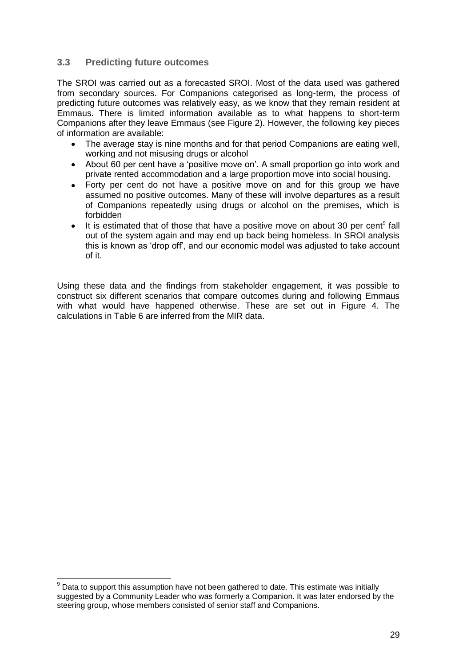#### **3.3 Predicting future outcomes**

The SROI was carried out as a forecasted SROI. Most of the data used was gathered from secondary sources. For Companions categorised as long-term, the process of predicting future outcomes was relatively easy, as we know that they remain resident at Emmaus. There is limited information available as to what happens to short-term Companions after they leave Emmaus (see Figure 2). However, the following key pieces of information are available:

- The average stay is nine months and for that period Companions are eating well,  $\bullet$ working and not misusing drugs or alcohol
- About 60 per cent have a 'positive move on'. A small proportion go into work and private rented accommodation and a large proportion move into social housing.
- Forty per cent do not have a positive move on and for this group we have assumed no positive outcomes. Many of these will involve departures as a result of Companions repeatedly using drugs or alcohol on the premises, which is forbidden
- $\bullet$ It is estimated that of those that have a positive move on about 30 per cent<sup>9</sup> fall out of the system again and may end up back being homeless. In SROI analysis this is known as 'drop off', and our economic model was adjusted to take account of it.

Using these data and the findings from stakeholder engagement, it was possible to construct six different scenarios that compare outcomes during and following Emmaus with what would have happened otherwise. These are set out in Figure 4. The calculations in Table 6 are inferred from the MIR data.

 $\overline{\phantom{a}}$  $9$  Data to support this assumption have not been gathered to date. This estimate was initially suggested by a Community Leader who was formerly a Companion. It was later endorsed by the steering group, whose members consisted of senior staff and Companions.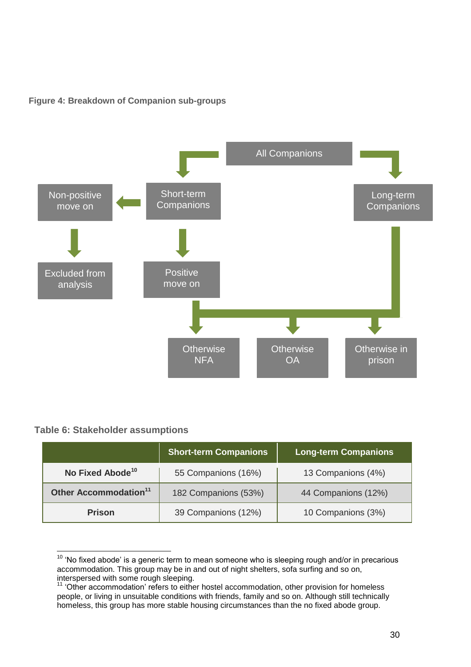### **Figure 4: Breakdown of Companion sub-groups**



### **Table 6: Stakeholder assumptions**

 $\overline{\phantom{a}}$ 

|                                   | <b>Short-term Companions</b> | <b>Long-term Companions</b> |  |
|-----------------------------------|------------------------------|-----------------------------|--|
| No Fixed Abode <sup>10</sup>      | 55 Companions (16%)          | 13 Companions (4%)          |  |
| Other Accommodation <sup>11</sup> | 182 Companions (53%)         | 44 Companions (12%)         |  |
| <b>Prison</b>                     | 39 Companions (12%)          | 10 Companions (3%)          |  |

 $10$  'No fixed abode' is a generic term to mean someone who is sleeping rough and/or in precarious accommodation. This group may be in and out of night shelters, sofa surfing and so on, interspersed with some rough sleeping.

<sup>&</sup>lt;sup>11</sup> 'Other accommodation' refers to either hostel accommodation, other provision for homeless people, or living in unsuitable conditions with friends, family and so on. Although still technically homeless, this group has more stable housing circumstances than the no fixed abode group.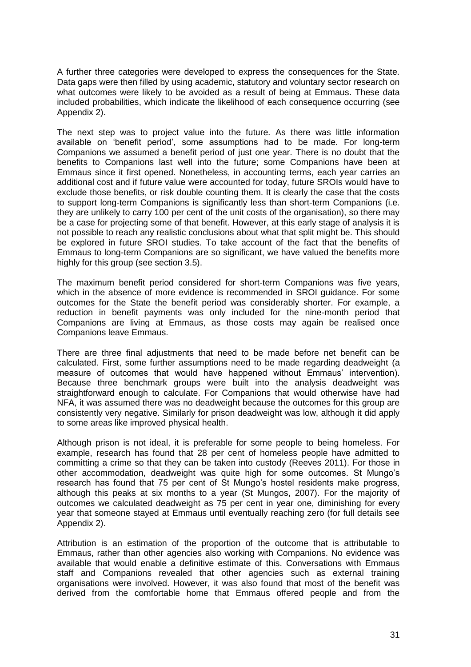A further three categories were developed to express the consequences for the State. Data gaps were then filled by using academic, statutory and voluntary sector research on what outcomes were likely to be avoided as a result of being at Emmaus. These data included probabilities, which indicate the likelihood of each consequence occurring (see Appendix 2).

The next step was to project value into the future. As there was little information available on 'benefit period', some assumptions had to be made. For long-term Companions we assumed a benefit period of just one year. There is no doubt that the benefits to Companions last well into the future; some Companions have been at Emmaus since it first opened. Nonetheless, in accounting terms, each year carries an additional cost and if future value were accounted for today, future SROIs would have to exclude those benefits, or risk double counting them. It is clearly the case that the costs to support long-term Companions is significantly less than short-term Companions (i.e. they are unlikely to carry 100 per cent of the unit costs of the organisation), so there may be a case for projecting some of that benefit. However, at this early stage of analysis it is not possible to reach any realistic conclusions about what that split might be. This should be explored in future SROI studies. To take account of the fact that the benefits of Emmaus to long-term Companions are so significant, we have valued the benefits more highly for this group (see section 3.5).

The maximum benefit period considered for short-term Companions was five years, which in the absence of more evidence is recommended in SROI guidance. For some outcomes for the State the benefit period was considerably shorter. For example, a reduction in benefit payments was only included for the nine-month period that Companions are living at Emmaus, as those costs may again be realised once Companions leave Emmaus.

There are three final adjustments that need to be made before net benefit can be calculated. First, some further assumptions need to be made regarding deadweight (a measure of outcomes that would have happened without Emmaus' intervention). Because three benchmark groups were built into the analysis deadweight was straightforward enough to calculate. For Companions that would otherwise have had NFA, it was assumed there was no deadweight because the outcomes for this group are consistently very negative. Similarly for prison deadweight was low, although it did apply to some areas like improved physical health.

Although prison is not ideal, it is preferable for some people to being homeless. For example, research has found that 28 per cent of homeless people have admitted to committing a crime so that they can be taken into custody (Reeves 2011). For those in other accommodation, deadweight was quite high for some outcomes. St Mungo's research has found that 75 per cent of St Mungo's hostel residents make progress, although this peaks at six months to a year (St Mungos, 2007). For the majority of outcomes we calculated deadweight as 75 per cent in year one, diminishing for every year that someone stayed at Emmaus until eventually reaching zero (for full details see Appendix 2).

Attribution is an estimation of the proportion of the outcome that is attributable to Emmaus, rather than other agencies also working with Companions. No evidence was available that would enable a definitive estimate of this. Conversations with Emmaus staff and Companions revealed that other agencies such as external training organisations were involved. However, it was also found that most of the benefit was derived from the comfortable home that Emmaus offered people and from the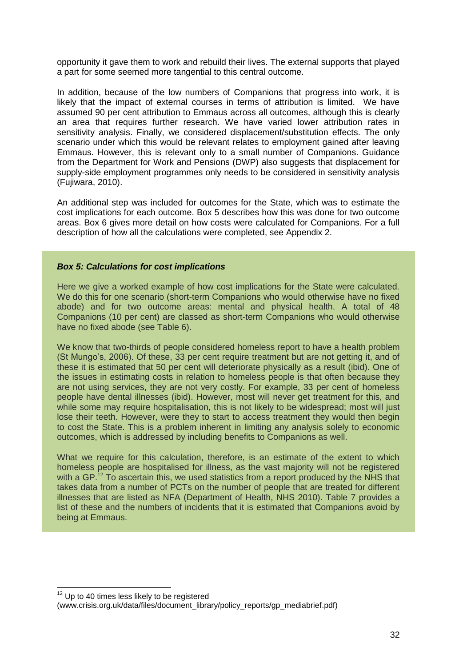opportunity it gave them to work and rebuild their lives. The external supports that played a part for some seemed more tangential to this central outcome.

In addition, because of the low numbers of Companions that progress into work, it is likely that the impact of external courses in terms of attribution is limited. We have assumed 90 per cent attribution to Emmaus across all outcomes, although this is clearly an area that requires further research. We have varied lower attribution rates in sensitivity analysis. Finally, we considered displacement/substitution effects. The only scenario under which this would be relevant relates to employment gained after leaving Emmaus. However, this is relevant only to a small number of Companions. Guidance from the Department for Work and Pensions (DWP) also suggests that displacement for supply-side employment programmes only needs to be considered in sensitivity analysis (Fujiwara, 2010).

An additional step was included for outcomes for the State, which was to estimate the cost implications for each outcome. Box 5 describes how this was done for two outcome areas. Box 6 gives more detail on how costs were calculated for Companions. For a full description of how all the calculations were completed, see Appendix 2.

#### *Box 5: Calculations for cost implications*

Here we give a worked example of how cost implications for the State were calculated. We do this for one scenario (short-term Companions who would otherwise have no fixed abode) and for two outcome areas: mental and physical health. A total of 48 Companions (10 per cent) are classed as short-term Companions who would otherwise have no fixed abode (see Table 6).

We know that two-thirds of people considered homeless report to have a health problem (St Mungo's, 2006). Of these, 33 per cent require treatment but are not getting it, and of these it is estimated that 50 per cent will deteriorate physically as a result (ibid). One of the issues in estimating costs in relation to homeless people is that often because they are not using services, they are not very costly. For example, 33 per cent of homeless people have dental illnesses (ibid). However, most will never get treatment for this, and while some may require hospitalisation, this is not likely to be widespread; most will just lose their teeth. However, were they to start to access treatment they would then begin to cost the State. This is a problem inherent in limiting any analysis solely to economic outcomes, which is addressed by including benefits to Companions as well.

What we require for this calculation, therefore, is an estimate of the extent to which homeless people are hospitalised for illness, as the vast majority will not be registered with a GP.<sup>12</sup> To ascertain this, we used statistics from a report produced by the NHS that takes data from a number of PCTs on the number of people that are treated for different illnesses that are listed as NFA (Department of Health, NHS 2010). Table 7 provides a list of these and the numbers of incidents that it is estimated that Companions avoid by being at Emmaus.

 $\overline{\phantom{a}}$ 

 $12$  Up to 40 times less likely to be registered

<sup>(</sup>www.crisis.org.uk/data/files/document\_library/policy\_reports/gp\_mediabrief.pdf)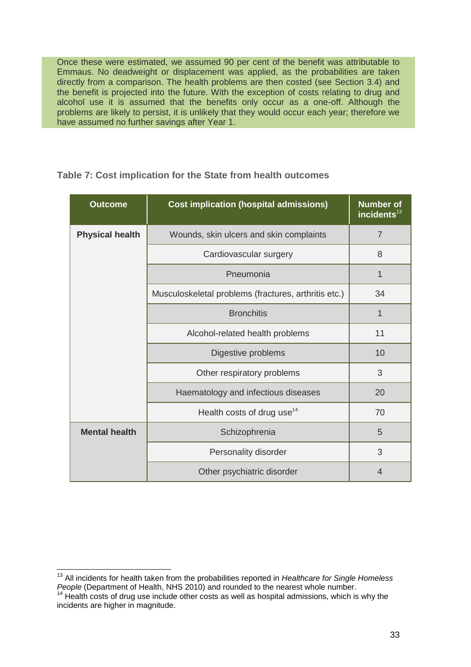Once these were estimated, we assumed 90 per cent of the benefit was attributable to Emmaus. No deadweight or displacement was applied, as the probabilities are taken directly from a comparison. The health problems are then costed (see Section 3.4) and the benefit is projected into the future. With the exception of costs relating to drug and alcohol use it is assumed that the benefits only occur as a one-off. Although the problems are likely to persist, it is unlikely that they would occur each year; therefore we have assumed no further savings after Year 1.

| <b>Outcome</b>         | <b>Cost implication (hospital admissions)</b>        | <b>Number of</b><br>incidents <sup>13</sup> |  |  |
|------------------------|------------------------------------------------------|---------------------------------------------|--|--|
| <b>Physical health</b> | Wounds, skin ulcers and skin complaints              |                                             |  |  |
|                        | Cardiovascular surgery                               | 8                                           |  |  |
|                        | Pneumonia                                            | 1                                           |  |  |
|                        | Musculoskeletal problems (fractures, arthritis etc.) | 34                                          |  |  |
|                        | <b>Bronchitis</b>                                    | 1                                           |  |  |
|                        | Alcohol-related health problems                      |                                             |  |  |
|                        | Digestive problems                                   | 10                                          |  |  |
|                        | Other respiratory problems                           | 3                                           |  |  |
|                        | Haematology and infectious diseases                  | 20                                          |  |  |
|                        | Health costs of drug use <sup>14</sup>               | 70                                          |  |  |
| <b>Mental health</b>   | Schizophrenia                                        | 5                                           |  |  |
|                        | Personality disorder                                 | 3                                           |  |  |
|                        | Other psychiatric disorder                           | 4                                           |  |  |

### **Table 7: Cost implication for the State from health outcomes**

 $\overline{\phantom{a}}$ <sup>13</sup> All incidents for health taken from the probabilities reported in *Healthcare for Single Homeless People* (Department of Health, NHS 2010) and rounded to the nearest whole number.

 $14$  Health costs of drug use include other costs as well as hospital admissions, which is why the incidents are higher in magnitude.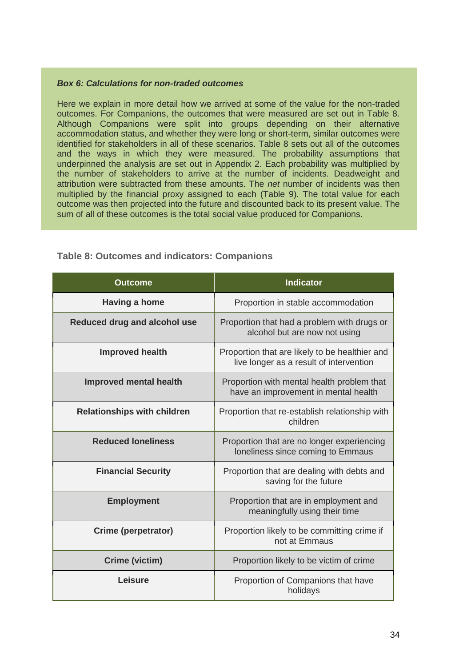#### *Box 6: Calculations for non-traded outcomes*

Here we explain in more detail how we arrived at some of the value for the non-traded outcomes. For Companions, the outcomes that were measured are set out in Table 8. Although Companions were split into groups depending on their alternative accommodation status, and whether they were long or short-term, similar outcomes were identified for stakeholders in all of these scenarios. Table 8 sets out all of the outcomes and the ways in which they were measured. The probability assumptions that underpinned the analysis are set out in Appendix 2. Each probability was multiplied by the number of stakeholders to arrive at the number of incidents. Deadweight and attribution were subtracted from these amounts. The *net* number of incidents was then multiplied by the financial proxy assigned to each (Table 9). The total value for each outcome was then projected into the future and discounted back to its present value. The sum of all of these outcomes is the total social value produced for Companions.

| <b>Outcome</b>                      | <b>Indicator</b>                                                                          |
|-------------------------------------|-------------------------------------------------------------------------------------------|
| Having a home                       | Proportion in stable accommodation                                                        |
| <b>Reduced drug and alcohol use</b> | Proportion that had a problem with drugs or<br>alcohol but are now not using              |
| <b>Improved health</b>              | Proportion that are likely to be healthier and<br>live longer as a result of intervention |
| <b>Improved mental health</b>       | Proportion with mental health problem that<br>have an improvement in mental health        |
| <b>Relationships with children</b>  | Proportion that re-establish relationship with<br>children                                |
| <b>Reduced loneliness</b>           | Proportion that are no longer experiencing<br>loneliness since coming to Emmaus           |
| <b>Financial Security</b>           | Proportion that are dealing with debts and<br>saving for the future                       |
| <b>Employment</b>                   | Proportion that are in employment and<br>meaningfully using their time                    |
| Crime (perpetrator)                 | Proportion likely to be committing crime if<br>not at Emmaus                              |
| Crime (victim)                      | Proportion likely to be victim of crime                                                   |
| Leisure                             | Proportion of Companions that have<br>holidays                                            |

#### **Table 8: Outcomes and indicators: Companions**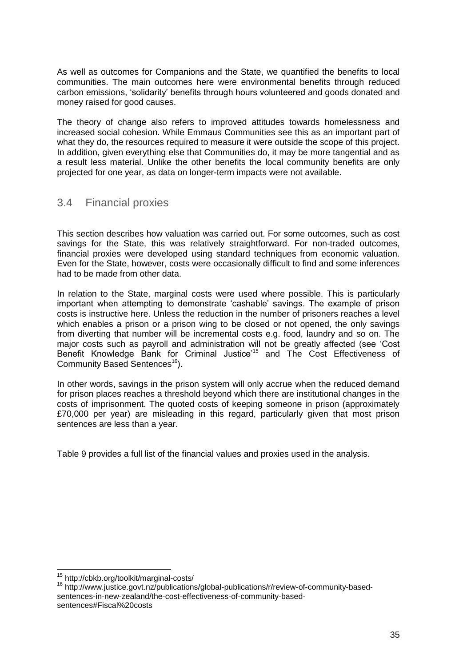As well as outcomes for Companions and the State, we quantified the benefits to local communities. The main outcomes here were environmental benefits through reduced carbon emissions, 'solidarity' benefits through hours volunteered and goods donated and money raised for good causes.

The theory of change also refers to improved attitudes towards homelessness and increased social cohesion. While Emmaus Communities see this as an important part of what they do, the resources required to measure it were outside the scope of this project. In addition, given everything else that Communities do, it may be more tangential and as a result less material. Unlike the other benefits the local community benefits are only projected for one year, as data on longer-term impacts were not available.

# 3.4 Financial proxies

This section describes how valuation was carried out. For some outcomes, such as cost savings for the State, this was relatively straightforward. For non-traded outcomes, financial proxies were developed using standard techniques from economic valuation. Even for the State, however, costs were occasionally difficult to find and some inferences had to be made from other data.

In relation to the State, marginal costs were used where possible. This is particularly important when attempting to demonstrate 'cashable' savings. The example of prison costs is instructive here. Unless the reduction in the number of prisoners reaches a level which enables a prison or a prison wing to be closed or not opened, the only savings from diverting that number will be incremental costs e.g. food, laundry and so on. The major costs such as payroll and administration will not be greatly affected (see 'Cost Benefit Knowledge Bank for Criminal Justice'<sup>15</sup> and The Cost Effectiveness of Community Based Sentences<sup>16</sup>).

In other words, savings in the prison system will only accrue when the reduced demand for prison places reaches a threshold beyond which there are institutional changes in the costs of imprisonment. The quoted costs of keeping someone in prison (approximately £70,000 per year) are misleading in this regard, particularly given that most prison sentences are less than a year.

Table 9 provides a full list of the financial values and proxies used in the analysis.

 $\overline{a}$ 

<sup>15</sup> http://cbkb.org/toolkit/marginal-costs/

<sup>16</sup> http://www.justice.govt.nz/publications/global-publications/r/review-of-community-basedsentences-in-new-zealand/the-cost-effectiveness-of-community-basedsentences#Fiscal%20costs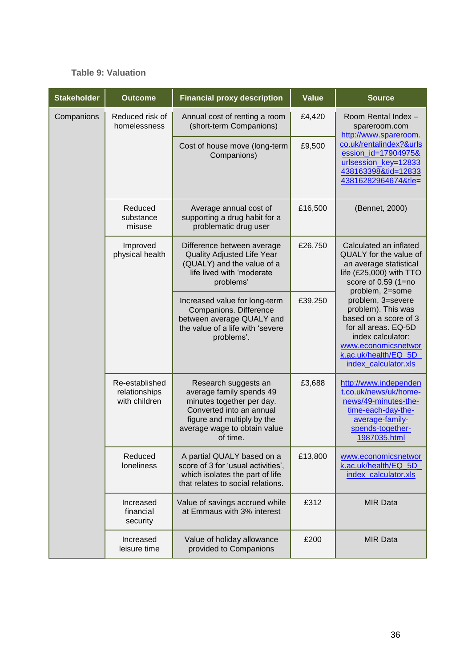### **Table 9: Valuation**

| <b>Stakeholder</b> | <b>Outcome</b>                                   | <b>Financial proxy description</b>                                                                                                                                                  | <b>Value</b> | <b>Source</b>                                                                                                                                                                        |
|--------------------|--------------------------------------------------|-------------------------------------------------------------------------------------------------------------------------------------------------------------------------------------|--------------|--------------------------------------------------------------------------------------------------------------------------------------------------------------------------------------|
| Companions         | Reduced risk of<br>homelessness                  | Annual cost of renting a room<br>(short-term Companions)                                                                                                                            | £4,420       | Room Rental Index -<br>spareroom.com<br>http://www.spareroom.                                                                                                                        |
|                    |                                                  | Cost of house move (long-term<br>Companions)                                                                                                                                        | £9,500       | co.uk/rentalindex?&urls<br>ession_id=17904975&<br>urlsession_key=12833<br>438163398&tid=12833<br>43816282964674&tle=                                                                 |
|                    | Reduced<br>substance<br>misuse                   | Average annual cost of<br>supporting a drug habit for a<br>problematic drug user                                                                                                    | £16,500      | (Bennet, 2000)                                                                                                                                                                       |
|                    | Improved<br>physical health                      | Difference between average<br>Quality Adjusted Life Year<br>(QUALY) and the value of a<br>life lived with 'moderate<br>problems'                                                    | £26,750      | Calculated an inflated<br>QUALY for the value of<br>an average statistical<br>life (£25,000) with TTO<br>score of 0.59 (1=no<br>problem, 2=some                                      |
|                    |                                                  | Increased value for long-term<br>Companions. Difference<br>between average QUALY and<br>the value of a life with 'severe<br>problems'.                                              | £39,250      | problem, 3=severe<br>problem). This was<br>based on a score of 3<br>for all areas. EQ-5D<br>index calculator:<br>www.economicsnetwor<br>k.ac.uk/health/EQ_5D<br>index_calculator.xls |
|                    | Re-established<br>relationships<br>with children | Research suggests an<br>average family spends 49<br>minutes together per day.<br>Converted into an annual<br>figure and multiply by the<br>average wage to obtain value<br>of time. | £3,688       | http://www.independen<br>t.co.uk/news/uk/home-<br>news/49-minutes-the-<br>time-each-day-the-<br>average-family-<br>spends-together-<br>1987035.html                                  |
|                    | Reduced<br><b>loneliness</b>                     | A partial QUALY based on a<br>score of 3 for 'usual activities',<br>which isolates the part of life<br>that relates to social relations.                                            | £13,800      | www.economicsnetwor<br>k.ac.uk/health/EQ_5D_<br>index_calculator.xls                                                                                                                 |
|                    | Increased<br>financial<br>security               | Value of savings accrued while<br>at Emmaus with 3% interest                                                                                                                        | £312         | <b>MIR Data</b>                                                                                                                                                                      |
|                    | Increased<br>leisure time                        | Value of holiday allowance<br>provided to Companions                                                                                                                                | £200         | <b>MIR Data</b>                                                                                                                                                                      |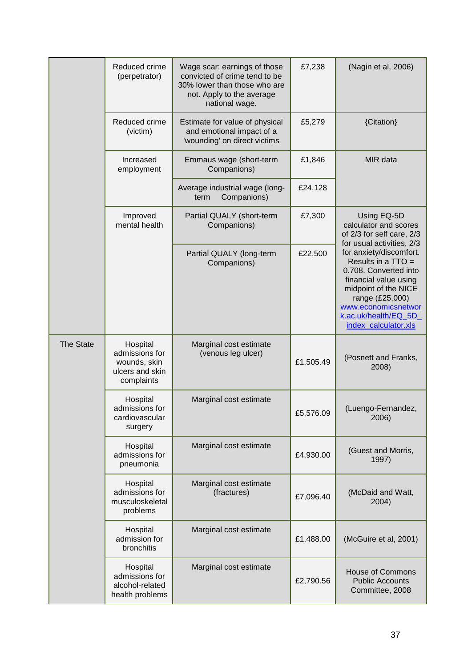|           | Reduced crime<br>(perpetrator)                                              | Wage scar: earnings of those<br>convicted of crime tend to be<br>30% lower than those who are<br>not. Apply to the average<br>national wage. | £7,238    | (Nagin et al, 2006)                                                                                                                                                                                               |
|-----------|-----------------------------------------------------------------------------|----------------------------------------------------------------------------------------------------------------------------------------------|-----------|-------------------------------------------------------------------------------------------------------------------------------------------------------------------------------------------------------------------|
|           | Reduced crime<br>(victim)                                                   | Estimate for value of physical<br>and emotional impact of a<br>'wounding' on direct victims                                                  | £5,279    | {Citation}                                                                                                                                                                                                        |
|           | Increased<br>employment                                                     | Emmaus wage (short-term<br>Companions)                                                                                                       | £1,846    | MIR data                                                                                                                                                                                                          |
|           |                                                                             | Average industrial wage (long-<br>Companions)<br>term                                                                                        | £24,128   |                                                                                                                                                                                                                   |
|           | Improved<br>mental health                                                   | Partial QUALY (short-term<br>Companions)                                                                                                     | £7,300    | Using EQ-5D<br>calculator and scores<br>of 2/3 for self care, 2/3<br>for usual activities, 2/3                                                                                                                    |
|           |                                                                             | Partial QUALY (long-term<br>Companions)                                                                                                      | £22,500   | for anxiety/discomfort.<br>Results in a TTO =<br>0.708. Converted into<br>financial value using<br>midpoint of the NICE<br>range (£25,000)<br>www.economicsnetwor<br>k.ac.uk/health/EQ 5D<br>index_calculator.xls |
| The State | Hospital<br>admissions for<br>wounds, skin<br>ulcers and skin<br>complaints | Marginal cost estimate<br>(venous leg ulcer)                                                                                                 | £1,505.49 | (Posnett and Franks,<br>2008)                                                                                                                                                                                     |
|           | Hospital<br>admissions for<br>cardiovascular<br>surgery                     | Marginal cost estimate                                                                                                                       | £5,576.09 | (Luengo-Fernandez,<br>2006)                                                                                                                                                                                       |
|           | Hospital<br>admissions for<br>pneumonia                                     | Marginal cost estimate                                                                                                                       | £4,930.00 | (Guest and Morris,<br>1997)                                                                                                                                                                                       |
|           | Hospital<br>admissions for<br>musculoskeletal<br>problems                   | Marginal cost estimate<br>(fractures)                                                                                                        | £7,096.40 | (McDaid and Watt,<br>2004)                                                                                                                                                                                        |
|           | Hospital<br>admission for<br>bronchitis                                     | Marginal cost estimate                                                                                                                       | £1,488.00 | (McGuire et al, 2001)                                                                                                                                                                                             |
|           | Hospital<br>admissions for<br>alcohol-related<br>health problems            | Marginal cost estimate                                                                                                                       | £2,790.56 | <b>House of Commons</b><br><b>Public Accounts</b><br>Committee, 2008                                                                                                                                              |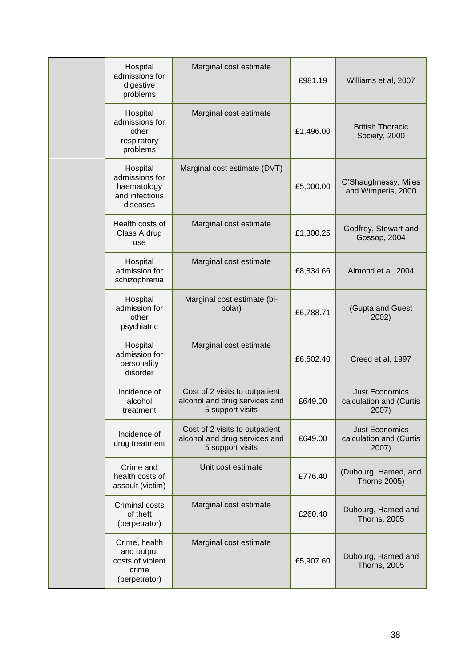| Hospital<br>admissions for<br>digestive<br>problems                       | Marginal cost estimate                                                              | £981.19   | Williams et al, 2007                                      |
|---------------------------------------------------------------------------|-------------------------------------------------------------------------------------|-----------|-----------------------------------------------------------|
| Hospital<br>admissions for<br>other<br>respiratory<br>problems            | Marginal cost estimate                                                              | £1,496.00 | <b>British Thoracic</b><br>Society, 2000                  |
| Hospital<br>admissions for<br>haematology<br>and infectious<br>diseases   | Marginal cost estimate (DVT)                                                        | £5,000.00 | O'Shaughnessy, Miles<br>and Wimperis, 2000                |
| Health costs of<br>Class A drug<br>use                                    | Marginal cost estimate                                                              | £1,300.25 | Godfrey, Stewart and<br>Gossop, 2004                      |
| Hospital<br>admission for<br>schizophrenia                                | Marginal cost estimate                                                              | £8,834.66 | Almond et al, 2004                                        |
| Hospital<br>admission for<br>other<br>psychiatric                         | Marginal cost estimate (bi-<br>polar)                                               | £6,788.71 | (Gupta and Guest<br>2002)                                 |
| Hospital<br>admission for<br>personality<br>disorder                      | Marginal cost estimate                                                              | £6,602.40 | Creed et al, 1997                                         |
| Incidence of<br>alcohol<br>treatment                                      | Cost of 2 visits to outpatient<br>alcohol and drug services and<br>5 support visits | £649.00   | <b>Just Economics</b><br>calculation and (Curtis<br>2007) |
| Incidence of<br>drug treatment                                            | Cost of 2 visits to outpatient<br>alcohol and drug services and<br>5 support visits | £649.00   | <b>Just Economics</b><br>calculation and (Curtis<br>2007) |
| Crime and<br>health costs of<br>assault (victim)                          | Unit cost estimate                                                                  | £776.40   | (Dubourg, Hamed, and<br><b>Thorns 2005)</b>               |
| Criminal costs<br>of theft<br>(perpetrator)                               | Marginal cost estimate                                                              | £260.40   | Dubourg, Hamed and<br><b>Thorns, 2005</b>                 |
| Crime, health<br>and output<br>costs of violent<br>crime<br>(perpetrator) | Marginal cost estimate                                                              | £5,907.60 | Dubourg, Hamed and<br><b>Thorns, 2005</b>                 |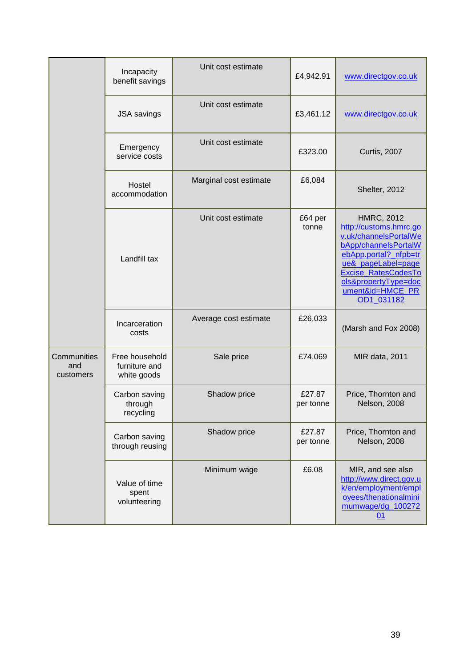|                                 | Incapacity<br>benefit savings                  | Unit cost estimate     | £4,942.91           | www.directgov.co.uk                                                                                                                                                                                                                 |
|---------------------------------|------------------------------------------------|------------------------|---------------------|-------------------------------------------------------------------------------------------------------------------------------------------------------------------------------------------------------------------------------------|
|                                 | <b>JSA</b> savings                             | Unit cost estimate     | £3,461.12           | www.directgov.co.uk                                                                                                                                                                                                                 |
|                                 | Emergency<br>service costs                     | Unit cost estimate     | £323.00             | <b>Curtis, 2007</b>                                                                                                                                                                                                                 |
|                                 | Hostel<br>accommodation                        | Marginal cost estimate | £6,084              | Shelter, 2012                                                                                                                                                                                                                       |
|                                 | Landfill tax                                   | Unit cost estimate     | £64 per<br>tonne    | <b>HMRC, 2012</b><br>http://customs.hmrc.go<br>v.uk/channelsPortalWe<br>bApp/channelsPortalW<br>ebApp.portal?_nfpb=tr<br>ue&_pageLabel=page<br><b>Excise RatesCodesTo</b><br>ols&propertyType=doc<br>ument&id=HMCE_PR<br>OD1_031182 |
|                                 | Incarceration<br>costs                         | Average cost estimate  | £26,033             | (Marsh and Fox 2008)                                                                                                                                                                                                                |
| Communities<br>and<br>customers | Free household<br>furniture and<br>white goods | Sale price             | £74,069             | <b>MIR data, 2011</b>                                                                                                                                                                                                               |
|                                 | Carbon saving<br>through<br>recycling          | Shadow price           | £27.87<br>per tonne | Price, Thornton and<br>Nelson, 2008                                                                                                                                                                                                 |
|                                 | Carbon saving<br>through reusing               | Shadow price           | £27.87<br>per tonne | Price, Thornton and<br>Nelson, 2008                                                                                                                                                                                                 |
|                                 | Value of time<br>spent<br>volunteering         | Minimum wage           | £6.08               | MIR, and see also<br>http://www.direct.gov.u<br>k/en/employment/empl<br>oyees/thenationalmini<br>mumwage/dg_100272<br>01                                                                                                            |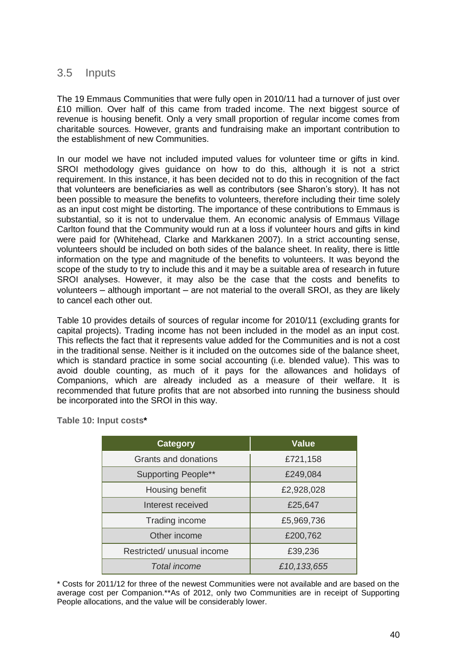# 3.5 Inputs

The 19 Emmaus Communities that were fully open in 2010/11 had a turnover of just over £10 million. Over half of this came from traded income. The next biggest source of revenue is housing benefit. Only a very small proportion of regular income comes from charitable sources. However, grants and fundraising make an important contribution to the establishment of new Communities.

In our model we have not included imputed values for volunteer time or gifts in kind. SROI methodology gives guidance on how to do this, although it is not a strict requirement. In this instance, it has been decided not to do this in recognition of the fact that volunteers are beneficiaries as well as contributors (see Sharon's story). It has not been possible to measure the benefits to volunteers, therefore including their time solely as an input cost might be distorting. The importance of these contributions to Emmaus is substantial, so it is not to undervalue them. An economic analysis of Emmaus Village Carlton found that the Community would run at a loss if volunteer hours and gifts in kind were paid for (Whitehead, Clarke and Markkanen 2007). In a strict accounting sense, volunteers should be included on both sides of the balance sheet. In reality, there is little information on the type and magnitude of the benefits to volunteers. It was beyond the scope of the study to try to include this and it may be a suitable area of research in future SROI analyses. However, it may also be the case that the costs and benefits to volunteers – although important – are not material to the overall SROI, as they are likely to cancel each other out.

Table 10 provides details of sources of regular income for 2010/11 (excluding grants for capital projects). Trading income has not been included in the model as an input cost. This reflects the fact that it represents value added for the Communities and is not a cost in the traditional sense. Neither is it included on the outcomes side of the balance sheet, which is standard practice in some social accounting (i.e. blended value). This was to avoid double counting, as much of it pays for the allowances and holidays of Companions, which are already included as a measure of their welfare. It is recommended that future profits that are not absorbed into running the business should be incorporated into the SROI in this way.

| <b>Category</b>            | <b>Value</b> |
|----------------------------|--------------|
| Grants and donations       | £721,158     |
| <b>Supporting People**</b> | £249,084     |
| Housing benefit            | £2,928,028   |
| Interest received          | £25,647      |
| Trading income             | £5,969,736   |
| Other income               | £200,762     |
| Restricted/ unusual income | £39,236      |
| Total income               | £10,133,655  |

**Table 10: Input costs\***

\* Costs for 2011/12 for three of the newest Communities were not available and are based on the average cost per Companion.\*\*As of 2012, only two Communities are in receipt of Supporting People allocations, and the value will be considerably lower.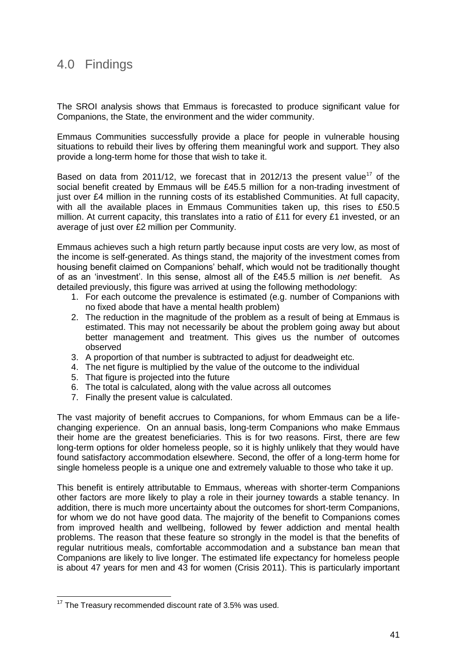# 4.0 Findings

The SROI analysis shows that Emmaus is forecasted to produce significant value for Companions, the State, the environment and the wider community.

Emmaus Communities successfully provide a place for people in vulnerable housing situations to rebuild their lives by offering them meaningful work and support. They also provide a long-term home for those that wish to take it.

Based on data from 2011/12, we forecast that in 2012/13 the present value<sup>17</sup> of the social benefit created by Emmaus will be £45.5 million for a non-trading investment of just over £4 million in the running costs of its established Communities. At full capacity, with all the available places in Emmaus Communities taken up, this rises to £50.5 million. At current capacity, this translates into a ratio of £11 for every £1 invested, or an average of just over £2 million per Community.

Emmaus achieves such a high return partly because input costs are very low, as most of the income is self-generated. As things stand, the majority of the investment comes from housing benefit claimed on Companions' behalf, which would not be traditionally thought of as an 'investment'. In this sense, almost all of the £45.5 million is *net* benefit. As detailed previously, this figure was arrived at using the following methodology:

- 1. For each outcome the prevalence is estimated (e.g. number of Companions with no fixed abode that have a mental health problem)
- 2. The reduction in the magnitude of the problem as a result of being at Emmaus is estimated. This may not necessarily be about the problem going away but about better management and treatment. This gives us the number of outcomes observed
- 3. A proportion of that number is subtracted to adjust for deadweight etc.
- 4. The net figure is multiplied by the value of the outcome to the individual
- 5. That figure is projected into the future
- 6. The total is calculated, along with the value across all outcomes
- 7. Finally the present value is calculated.

The vast majority of benefit accrues to Companions, for whom Emmaus can be a lifechanging experience. On an annual basis, long-term Companions who make Emmaus their home are the greatest beneficiaries. This is for two reasons. First, there are few long-term options for older homeless people, so it is highly unlikely that they would have found satisfactory accommodation elsewhere. Second, the offer of a long-term home for single homeless people is a unique one and extremely valuable to those who take it up.

This benefit is entirely attributable to Emmaus, whereas with shorter-term Companions other factors are more likely to play a role in their journey towards a stable tenancy. In addition, there is much more uncertainty about the outcomes for short-term Companions, for whom we do not have good data. The majority of the benefit to Companions comes from improved health and wellbeing, followed by fewer addiction and mental health problems. The reason that these feature so strongly in the model is that the benefits of regular nutritious meals, comfortable accommodation and a substance ban mean that Companions are likely to live longer. The estimated life expectancy for homeless people is about 47 years for men and 43 for women (Crisis 2011). This is particularly important

 $\overline{a}$ 

 $17$  The Treasury recommended discount rate of 3.5% was used.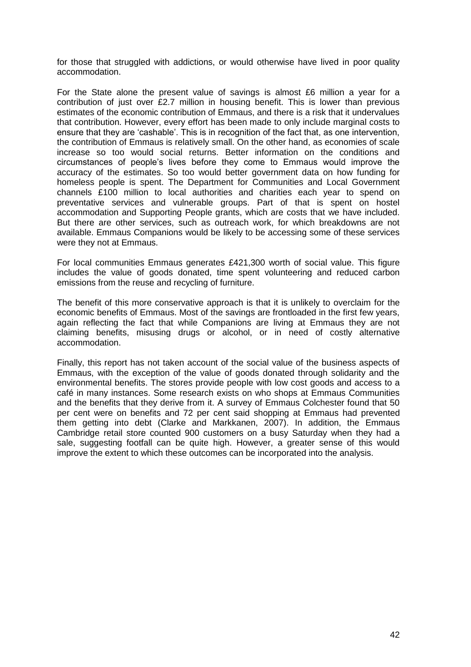for those that struggled with addictions, or would otherwise have lived in poor quality accommodation.

For the State alone the present value of savings is almost £6 million a year for a contribution of just over £2.7 million in housing benefit. This is lower than previous estimates of the economic contribution of Emmaus, and there is a risk that it undervalues that contribution. However, every effort has been made to only include marginal costs to ensure that they are 'cashable'. This is in recognition of the fact that, as one intervention, the contribution of Emmaus is relatively small. On the other hand, as economies of scale increase so too would social returns. Better information on the conditions and circumstances of people's lives before they come to Emmaus would improve the accuracy of the estimates. So too would better government data on how funding for homeless people is spent. The Department for Communities and Local Government channels £100 million to local authorities and charities each year to spend on preventative services and vulnerable groups. Part of that is spent on hostel accommodation and Supporting People grants, which are costs that we have included. But there are other services, such as outreach work, for which breakdowns are not available. Emmaus Companions would be likely to be accessing some of these services were they not at Emmaus.

For local communities Emmaus generates £421,300 worth of social value. This figure includes the value of goods donated, time spent volunteering and reduced carbon emissions from the reuse and recycling of furniture.

The benefit of this more conservative approach is that it is unlikely to overclaim for the economic benefits of Emmaus. Most of the savings are frontloaded in the first few years, again reflecting the fact that while Companions are living at Emmaus they are not claiming benefits, misusing drugs or alcohol, or in need of costly alternative accommodation.

Finally, this report has not taken account of the social value of the business aspects of Emmaus, with the exception of the value of goods donated through solidarity and the environmental benefits. The stores provide people with low cost goods and access to a café in many instances. Some research exists on who shops at Emmaus Communities and the benefits that they derive from it. A survey of Emmaus Colchester found that 50 per cent were on benefits and 72 per cent said shopping at Emmaus had prevented them getting into debt (Clarke and Markkanen, 2007). In addition, the Emmaus Cambridge retail store counted 900 customers on a busy Saturday when they had a sale, suggesting footfall can be quite high. However, a greater sense of this would improve the extent to which these outcomes can be incorporated into the analysis.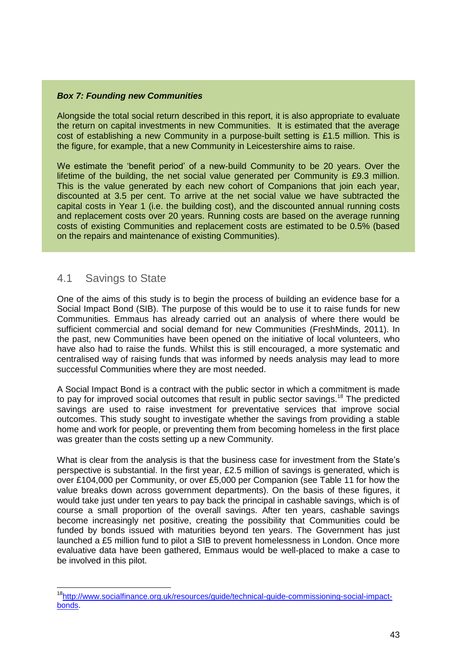#### *Box 7: Founding new Communities*

Alongside the total social return described in this report, it is also appropriate to evaluate the return on capital investments in new Communities. It is estimated that the average cost of establishing a new Community in a purpose-built setting is £1.5 million. This is the figure, for example, that a new Community in Leicestershire aims to raise.

We estimate the 'benefit period' of a new-build Community to be 20 years. Over the lifetime of the building, the net social value generated per Community is £9.3 million. This is the value generated by each new cohort of Companions that join each year, discounted at 3.5 per cent. To arrive at the net social value we have subtracted the capital costs in Year 1 (i.e. the building cost), and the discounted annual running costs and replacement costs over 20 years. Running costs are based on the average running costs of existing Communities and replacement costs are estimated to be 0.5% (based on the repairs and maintenance of existing Communities).

## 4.1 Savings to State

 $\overline{\phantom{a}}$ 

One of the aims of this study is to begin the process of building an evidence base for a Social Impact Bond (SIB). The purpose of this would be to use it to raise funds for new Communities. Emmaus has already carried out an analysis of where there would be sufficient commercial and social demand for new Communities (FreshMinds, 2011). In the past, new Communities have been opened on the initiative of local volunteers, who have also had to raise the funds. Whilst this is still encouraged, a more systematic and centralised way of raising funds that was informed by needs analysis may lead to more successful Communities where they are most needed.

A Social Impact Bond is a contract with the public sector in which a commitment is made to pay for improved social outcomes that result in public sector savings.<sup>18</sup> The predicted savings are used to raise investment for preventative services that improve social outcomes. This study sought to investigate whether the savings from providing a stable home and work for people, or preventing them from becoming homeless in the first place was greater than the costs setting up a new Community.

What is clear from the analysis is that the business case for investment from the State's perspective is substantial. In the first year, £2.5 million of savings is generated, which is over £104,000 per Community, or over £5,000 per Companion (see Table 11 for how the value breaks down across government departments). On the basis of these figures, it would take just under ten years to pay back the principal in cashable savings, which is of course a small proportion of the overall savings. After ten years, cashable savings become increasingly net positive, creating the possibility that Communities could be funded by bonds issued with maturities beyond ten years. The Government has just launched a £5 million fund to pilot a SIB to prevent homelessness in London. Once more evaluative data have been gathered, Emmaus would be well-placed to make a case to be involved in this pilot.

<sup>&</sup>lt;sup>18</sup>[http://www.socialfinance.org.uk/resources/guide/technical-guide-commissioning-social-impact](http://www.socialfinance.org.uk/resources/guide/technical-guide-commissioning-social-impact-bonds)[bonds.](http://www.socialfinance.org.uk/resources/guide/technical-guide-commissioning-social-impact-bonds)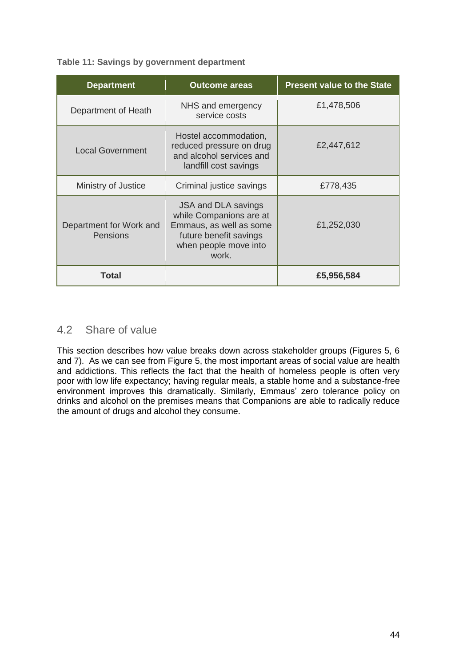#### **Table 11: Savings by government department**

| <b>Department</b>                          | <b>Outcome areas</b>                                                                                                                  | <b>Present value to the State</b> |
|--------------------------------------------|---------------------------------------------------------------------------------------------------------------------------------------|-----------------------------------|
| Department of Heath                        | NHS and emergency<br>service costs                                                                                                    | £1,478,506                        |
| <b>Local Government</b>                    | Hostel accommodation,<br>reduced pressure on drug<br>and alcohol services and<br>landfill cost savings                                | £2,447,612                        |
| Ministry of Justice                        | Criminal justice savings                                                                                                              | £778,435                          |
| Department for Work and<br><b>Pensions</b> | JSA and DLA savings<br>while Companions are at<br>Emmaus, as well as some<br>future benefit savings<br>when people move into<br>work. | £1,252,030                        |
| Total                                      |                                                                                                                                       | £5,956,584                        |

## 4.2 Share of value

This section describes how value breaks down across stakeholder groups (Figures 5, 6 and 7). As we can see from Figure 5, the most important areas of social value are health and addictions. This reflects the fact that the health of homeless people is often very poor with low life expectancy; having regular meals, a stable home and a substance-free environment improves this dramatically. Similarly, Emmaus' zero tolerance policy on drinks and alcohol on the premises means that Companions are able to radically reduce the amount of drugs and alcohol they consume.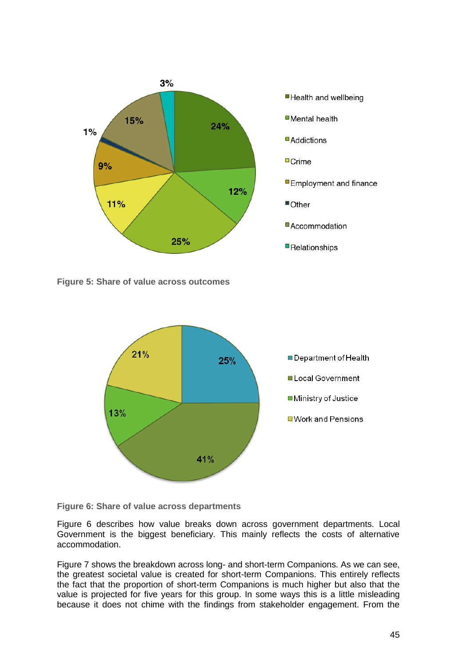

**Figure 5: Share of value across outcomes**



**Figure 6: Share of value across departments**

Figure 6 describes how value breaks down across government departments. Local Government is the biggest beneficiary. This mainly reflects the costs of alternative accommodation.

Figure 7 shows the breakdown across long- and short-term Companions. As we can see, the greatest societal value is created for short-term Companions. This entirely reflects the fact that the proportion of short-term Companions is much higher but also that the value is projected for five years for this group. In some ways this is a little misleading because it does not chime with the findings from stakeholder engagement. From the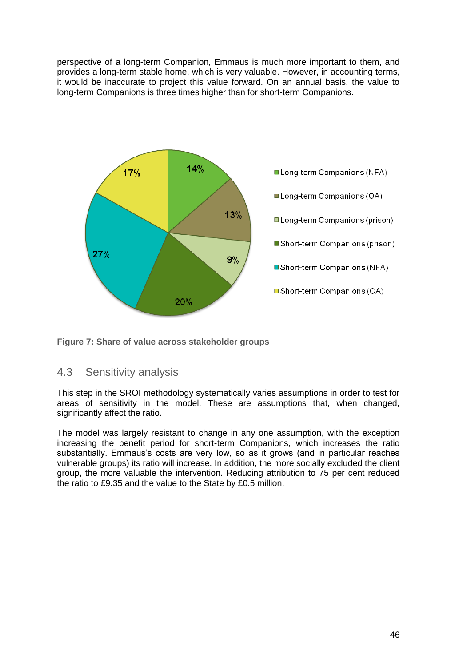perspective of a long-term Companion, Emmaus is much more important to them, and provides a long-term stable home, which is very valuable. However, in accounting terms, it would be inaccurate to project this value forward. On an annual basis, the value to long-term Companions is three times higher than for short-term Companions.



**Figure 7: Share of value across stakeholder groups**

# 4.3 Sensitivity analysis

This step in the SROI methodology systematically varies assumptions in order to test for areas of sensitivity in the model. These are assumptions that, when changed, significantly affect the ratio.

The model was largely resistant to change in any one assumption, with the exception increasing the benefit period for short-term Companions, which increases the ratio substantially. Emmaus's costs are very low, so as it grows (and in particular reaches vulnerable groups) its ratio will increase. In addition, the more socially excluded the client group, the more valuable the intervention. Reducing attribution to 75 per cent reduced the ratio to £9.35 and the value to the State by £0.5 million.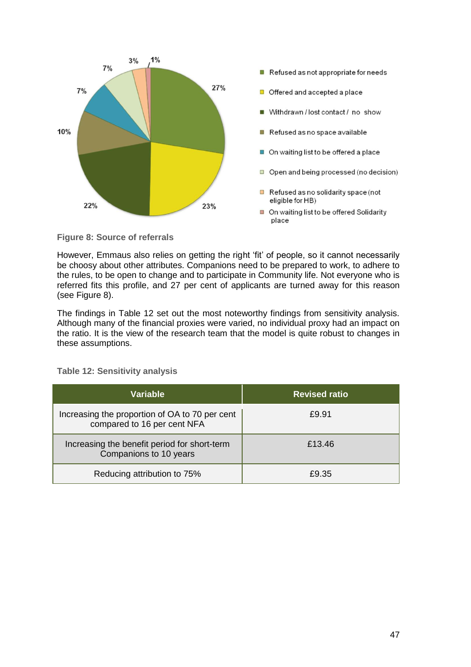

**Figure 8: Source of referrals**

However, Emmaus also relies on getting the right 'fit' of people, so it cannot necessarily be choosy about other attributes. Companions need to be prepared to work, to adhere to the rules, to be open to change and to participate in Community life. Not everyone who is referred fits this profile, and 27 per cent of applicants are turned away for this reason (see Figure 8).

The findings in Table 12 set out the most noteworthy findings from sensitivity analysis. Although many of the financial proxies were varied, no individual proxy had an impact on the ratio. It is the view of the research team that the model is quite robust to changes in these assumptions.

| Variable                                                                      | <b>Revised ratio</b> |
|-------------------------------------------------------------------------------|----------------------|
| Increasing the proportion of OA to 70 per cent<br>compared to 16 per cent NFA | £9.91                |
| Increasing the benefit period for short-term<br>Companions to 10 years        | £13.46               |
| Reducing attribution to 75%                                                   | £9.35                |

**Table 12: Sensitivity analysis**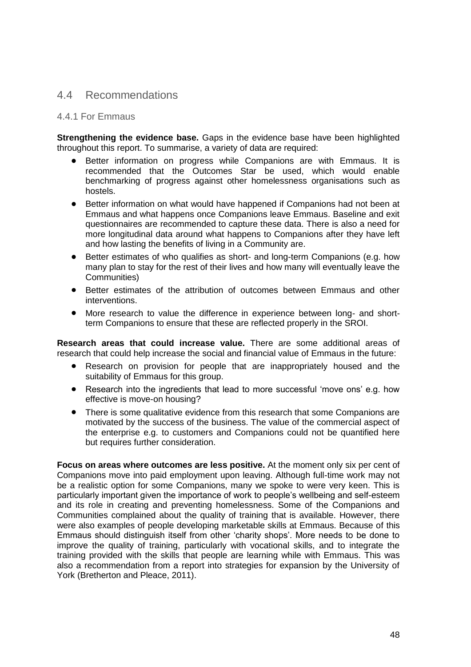## 4.4 Recommendations

#### 4.4.1 For Emmaus

**Strengthening the evidence base.** Gaps in the evidence base have been highlighted throughout this report. To summarise, a variety of data are required:

- Better information on progress while Companions are with Emmaus. It is recommended that the Outcomes Star be used, which would enable benchmarking of progress against other homelessness organisations such as hostels.
- $\bullet$ Better information on what would have happened if Companions had not been at Emmaus and what happens once Companions leave Emmaus. Baseline and exit questionnaires are recommended to capture these data. There is also a need for more longitudinal data around what happens to Companions after they have left and how lasting the benefits of living in a Community are.
- Better estimates of who qualifies as short- and long-term Companions (e.g. how many plan to stay for the rest of their lives and how many will eventually leave the Communities)
- Better estimates of the attribution of outcomes between Emmaus and other  $\bullet$ interventions.
- More research to value the difference in experience between long- and shortterm Companions to ensure that these are reflected properly in the SROI.

**Research areas that could increase value.** There are some additional areas of research that could help increase the social and financial value of Emmaus in the future:

- Research on provision for people that are inappropriately housed and the suitability of Emmaus for this group.
- Research into the ingredients that lead to more successful 'move ons' e.g. how  $\bullet$ effective is move-on housing?
- There is some qualitative evidence from this research that some Companions are  $\bullet$ motivated by the success of the business. The value of the commercial aspect of the enterprise e.g. to customers and Companions could not be quantified here but requires further consideration.

**Focus on areas where outcomes are less positive.** At the moment only six per cent of Companions move into paid employment upon leaving. Although full-time work may not be a realistic option for some Companions, many we spoke to were very keen. This is particularly important given the importance of work to people's wellbeing and self-esteem and its role in creating and preventing homelessness. Some of the Companions and Communities complained about the quality of training that is available. However, there were also examples of people developing marketable skills at Emmaus. Because of this Emmaus should distinguish itself from other 'charity shops'. More needs to be done to improve the quality of training, particularly with vocational skills, and to integrate the training provided with the skills that people are learning while with Emmaus. This was also a recommendation from a report into strategies for expansion by the University of York (Bretherton and Pleace, 2011).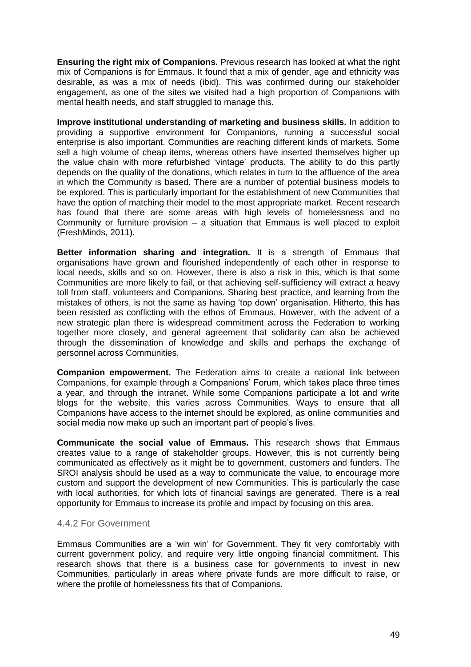**Ensuring the right mix of Companions.** Previous research has looked at what the right mix of Companions is for Emmaus. It found that a mix of gender, age and ethnicity was desirable, as was a mix of needs (ibid). This was confirmed during our stakeholder engagement, as one of the sites we visited had a high proportion of Companions with mental health needs, and staff struggled to manage this.

**Improve institutional understanding of marketing and business skills.** In addition to providing a supportive environment for Companions, running a successful social enterprise is also important. Communities are reaching different kinds of markets. Some sell a high volume of cheap items, whereas others have inserted themselves higher up the value chain with more refurbished 'vintage' products. The ability to do this partly depends on the quality of the donations, which relates in turn to the affluence of the area in which the Community is based. There are a number of potential business models to be explored. This is particularly important for the establishment of new Communities that have the option of matching their model to the most appropriate market. Recent research has found that there are some areas with high levels of homelessness and no Community or furniture provision – a situation that Emmaus is well placed to exploit (FreshMinds, 2011).

**Better information sharing and integration.** It is a strength of Emmaus that organisations have grown and flourished independently of each other in response to local needs, skills and so on. However, there is also a risk in this, which is that some Communities are more likely to fail, or that achieving self-sufficiency will extract a heavy toll from staff, volunteers and Companions. Sharing best practice, and learning from the mistakes of others, is not the same as having 'top down' organisation. Hitherto, this has been resisted as conflicting with the ethos of Emmaus. However, with the advent of a new strategic plan there is widespread commitment across the Federation to working together more closely, and general agreement that solidarity can also be achieved through the dissemination of knowledge and skills and perhaps the exchange of personnel across Communities.

**Companion empowerment.** The Federation aims to create a national link between Companions, for example through a Companions' Forum, which takes place three times a year, and through the intranet. While some Companions participate a lot and write blogs for the website, this varies across Communities. Ways to ensure that all Companions have access to the internet should be explored, as online communities and social media now make up such an important part of people's lives.

**Communicate the social value of Emmaus.** This research shows that Emmaus creates value to a range of stakeholder groups. However, this is not currently being communicated as effectively as it might be to government, customers and funders. The SROI analysis should be used as a way to communicate the value, to encourage more custom and support the development of new Communities. This is particularly the case with local authorities, for which lots of financial savings are generated. There is a real opportunity for Emmaus to increase its profile and impact by focusing on this area.

#### 4.4.2 For Government

Emmaus Communities are a 'win win' for Government. They fit very comfortably with current government policy, and require very little ongoing financial commitment. This research shows that there is a business case for governments to invest in new Communities, particularly in areas where private funds are more difficult to raise, or where the profile of homelessness fits that of Companions.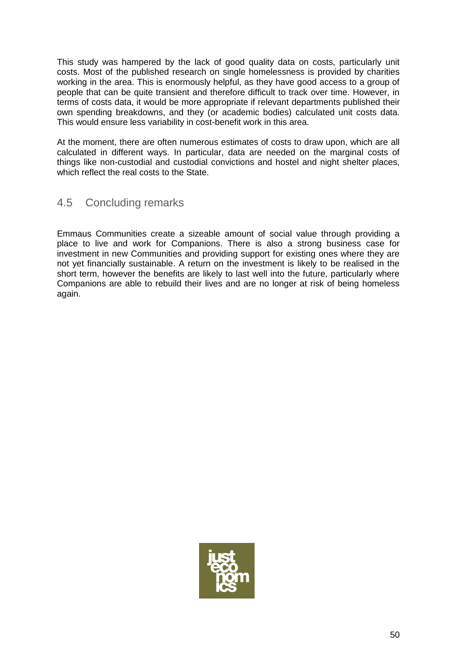This study was hampered by the lack of good quality data on costs, particularly unit costs. Most of the published research on single homelessness is provided by charities working in the area. This is enormously helpful, as they have good access to a group of people that can be quite transient and therefore difficult to track over time. However, in terms of costs data, it would be more appropriate if relevant departments published their own spending breakdowns, and they (or academic bodies) calculated unit costs data. This would ensure less variability in cost-benefit work in this area.

At the moment, there are often numerous estimates of costs to draw upon, which are all calculated in different ways. In particular, data are needed on the marginal costs of things like non-custodial and custodial convictions and hostel and night shelter places, which reflect the real costs to the State.

# 4.5 Concluding remarks

Emmaus Communities create a sizeable amount of social value through providing a place to live and work for Companions. There is also a strong business case for investment in new Communities and providing support for existing ones where they are not yet financially sustainable. A return on the investment is likely to be realised in the short term, however the benefits are likely to last well into the future, particularly where Companions are able to rebuild their lives and are no longer at risk of being homeless again.

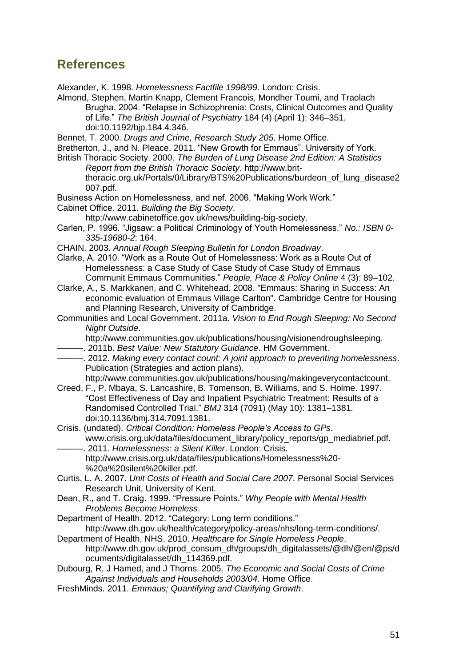# **References**

Alexander, K. 1998. *Homelessness Factfile 1998/99*. London: Crisis.

Almond, Stephen, Martin Knapp, Clement Francois, Mondher Toumi, and Traolach Brugha. 2004. "Relapse in Schizophrenia: Costs, Clinical Outcomes and Quality of Life." *The British Journal of Psychiatry* 184 (4) (April 1): 346–351. doi:10.1192/bjp.184.4.346.

Bennet, T. 2000. *Drugs and Crime, Research Study 205*. Home Office.

Bretherton, J., and N. Pleace. 2011. "New Growth for Emmaus". University of York.

British Thoracic Society. 2000. *The Burden of Lung Disease 2nd Edition: A Statistics Report from the British Thoracic Society*. http://www.britthoracic.org.uk/Portals/0/Library/BTS%20Publications/burdeon\_of\_lung\_disease2 007.pdf.

Business Action on Homelessness, and nef. 2006. "Making Work Work."

Cabinet Office. 2011. *Building the Big Society*.

http://www.cabinetoffice.gov.uk/news/building-big-society.

Carlen, P. 1996. "Jigsaw: a Political Criminology of Youth Homelessness." *No.: ISBN 0- 335-19680-2*: 164.

CHAIN. 2003. *Annual Rough Sleeping Bulletin for London Broadway*.

Clarke, A. 2010. "Work as a Route Out of Homelessness: Work as a Route Out of Homelessness: a Case Study of Case Study of Case Study of Emmaus Communit Emmaus Communities." *People, Place & Policy Online* 4 (3): 89–102.

Clarke, A., S. Markkanen, and C. Whitehead. 2008. "Emmaus: Sharing in Success: An economic evaluation of Emmaus Village Carlton". Cambridge Centre for Housing and Planning Research, University of Cambridge.

Communities and Local Government. 2011a. *Vision to End Rough Sleeping: No Second Night Outside*.

http://www.communities.gov.uk/publications/housing/visionendroughsleeping.

———. 2011b. *Best Value: New Statutory Guidance*. HM Government.

———. 2012. *Making every contact count: A joint approach to preventing homelessness*. Publication (Strategies and action plans).

http://www.communities.gov.uk/publications/housing/makingeverycontactcount.

Creed, F., P. Mbaya, S. Lancashire, B. Tomenson, B. Williams, and S. Holme. 1997. "Cost Effectiveness of Day and Inpatient Psychiatric Treatment: Results of a Randomised Controlled Trial." *BMJ* 314 (7091) (May 10): 1381–1381. doi:10.1136/bmj.314.7091.1381.

Crisis. (undated). *Critical Condition: Homeless People's Access to GPs*. www.crisis.org.uk/data/files/document\_library/policy\_reports/gp\_mediabrief.pdf. ———. 2011. *Homelessness: a Silent Killer*. London: Crisis.

http://www.crisis.org.uk/data/files/publications/Homelessness%20- %20a%20silent%20killer.pdf.

Curtis, L. A. 2007. *Unit Costs of Health and Social Care 2007*. Personal Social Services Research Unit, University of Kent.

Dean, R., and T. Craig. 1999. "Pressure Points." *Why People with Mental Health Problems Become Homeless*.

Department of Health. 2012. "Category: Long term conditions."

http://www.dh.gov.uk/health/category/policy-areas/nhs/long-term-conditions/. Department of Health, NHS. 2010. *Healthcare for Single Homeless People*.

http://www.dh.gov.uk/prod\_consum\_dh/groups/dh\_digitalassets/@dh/@en/@ps/d ocuments/digitalasset/dh\_114369.pdf.

Dubourg, R, J Hamed, and J Thorns. 2005. *The Economic and Social Costs of Crime Against Individuals and Households 2003/04*. Home Office.

FreshMinds. 2011. *Emmaus; Quantifying and Clarifying Growth*.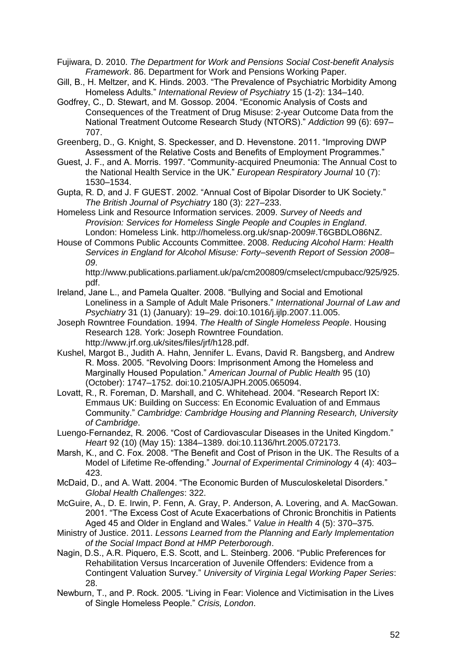Fujiwara, D. 2010. *The Department for Work and Pensions Social Cost-benefit Analysis Framework*. 86. Department for Work and Pensions Working Paper.

Gill, B., H. Meltzer, and K. Hinds. 2003. "The Prevalence of Psychiatric Morbidity Among Homeless Adults." *International Review of Psychiatry* 15 (1-2): 134–140.

- Godfrey, C., D. Stewart, and M. Gossop. 2004. "Economic Analysis of Costs and Consequences of the Treatment of Drug Misuse: 2-year Outcome Data from the National Treatment Outcome Research Study (NTORS)." *Addiction* 99 (6): 697– 707.
- Greenberg, D., G. Knight, S. Speckesser, and D. Hevenstone. 2011. "Improving DWP Assessment of the Relative Costs and Benefits of Employment Programmes."
- Guest, J. F., and A. Morris. 1997. "Community-acquired Pneumonia: The Annual Cost to the National Health Service in the UK." *European Respiratory Journal* 10 (7): 1530–1534.
- Gupta, R. D, and J. F GUEST. 2002. "Annual Cost of Bipolar Disorder to UK Society." *The British Journal of Psychiatry* 180 (3): 227–233.
- Homeless Link and Resource Information services. 2009. *Survey of Needs and Provision: Services for Homeless Single People and Couples in England*. London: Homeless Link. http://homeless.org.uk/snap-2009#.T6GBDLO86NZ.
- House of Commons Public Accounts Committee. 2008. *Reducing Alcohol Harm: Health Services in England for Alcohol Misuse: Forty–seventh Report of Session 2008– 09*.

http://www.publications.parliament.uk/pa/cm200809/cmselect/cmpubacc/925/925. pdf.

- Ireland, Jane L., and Pamela Qualter. 2008. "Bullying and Social and Emotional Loneliness in a Sample of Adult Male Prisoners." *International Journal of Law and Psychiatry* 31 (1) (January): 19–29. doi:10.1016/j.ijlp.2007.11.005.
- Joseph Rowntree Foundation. 1994. *The Health of Single Homeless People*. Housing Research 128. York: Joseph Rowntree Foundation. http://www.jrf.org.uk/sites/files/jrf/h128.pdf.
- Kushel, Margot B., Judith A. Hahn, Jennifer L. Evans, David R. Bangsberg, and Andrew R. Moss. 2005. "Revolving Doors: Imprisonment Among the Homeless and Marginally Housed Population." *American Journal of Public Health* 95 (10) (October): 1747–1752. doi:10.2105/AJPH.2005.065094.
- Lovatt, R., R. Foreman, D. Marshall, and C. Whitehead. 2004. "Research Report IX: Emmaus UK: Building on Success: En Economic Evaluation of and Emmaus Community." *Cambridge: Cambridge Housing and Planning Research, University of Cambridge*.
- Luengo-Fernandez, R. 2006. "Cost of Cardiovascular Diseases in the United Kingdom." *Heart* 92 (10) (May 15): 1384–1389. doi:10.1136/hrt.2005.072173.
- Marsh, K., and C. Fox. 2008. "The Benefit and Cost of Prison in the UK. The Results of a Model of Lifetime Re-offending." *Journal of Experimental Criminology* 4 (4): 403– 423.
- McDaid, D., and A. Watt. 2004. "The Economic Burden of Musculoskeletal Disorders." *Global Health Challenges*: 322.
- McGuire, A., D. E. Irwin, P. Fenn, A. Gray, P. Anderson, A. Lovering, and A. MacGowan. 2001. "The Excess Cost of Acute Exacerbations of Chronic Bronchitis in Patients Aged 45 and Older in England and Wales." *Value in Health* 4 (5): 370–375.
- Ministry of Justice. 2011. *Lessons Learned from the Planning and Early Implementation of the Social Impact Bond at HMP Peterborough*.
- Nagin, D.S., A.R. Piquero, E.S. Scott, and L. Steinberg. 2006. "Public Preferences for Rehabilitation Versus Incarceration of Juvenile Offenders: Evidence from a Contingent Valuation Survey." *University of Virginia Legal Working Paper Series*: 28.
- Newburn, T., and P. Rock. 2005. "Living in Fear: Violence and Victimisation in the Lives of Single Homeless People." *Crisis, London*.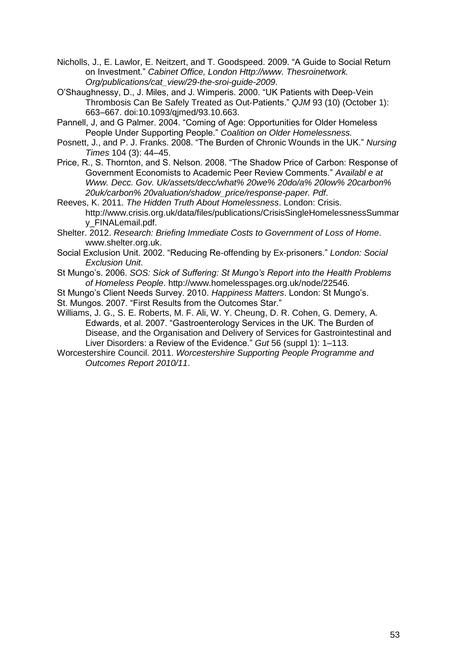Nicholls, J., E. Lawlor, E. Neitzert, and T. Goodspeed. 2009. "A Guide to Social Return on Investment." *Cabinet Office, London Http://www. Thesroinetwork. Org/publications/cat\_view/29-the-sroi-guide-2009*.

O'Shaughnessy, D., J. Miles, and J. Wimperis. 2000. "UK Patients with Deep‐Vein Thrombosis Can Be Safely Treated as Out‐Patients." *QJM* 93 (10) (October 1): 663–667. doi:10.1093/qjmed/93.10.663.

Pannell, J, and G Palmer. 2004. "Coming of Age: Opportunities for Older Homeless People Under Supporting People." *Coalition on Older Homelessness.*

Posnett, J., and P. J. Franks. 2008. "The Burden of Chronic Wounds in the UK." *Nursing Times* 104 (3): 44–45.

Price, R., S. Thornton, and S. Nelson. 2008. "The Shadow Price of Carbon: Response of Government Economists to Academic Peer Review Comments." *Availabl e at Www. Decc. Gov. Uk/assets/decc/what% 20we% 20do/a% 20low% 20carbon% 20uk/carbon% 20valuation/shadow\_price/response-paper. Pdf*.

Reeves, K. 2011. *The Hidden Truth About Homelessness*. London: Crisis. http://www.crisis.org.uk/data/files/publications/CrisisSingleHomelessnessSummar y\_FINALemail.pdf.

Shelter. 2012. *Research: Briefing Immediate Costs to Government of Loss of Home*. www.shelter.org.uk.

Social Exclusion Unit. 2002. "Reducing Re-offending by Ex-prisoners." *London: Social Exclusion Unit*.

St Mungo's. 2006. *SOS: Sick of Suffering: St Mungo's Report into the Health Problems of Homeless People*. http://www.homelesspages.org.uk/node/22546.

St Mungo's Client Needs Survey. 2010. *Happiness Matters*. London: St Mungo's.

St. Mungos. 2007. "First Results from the Outcomes Star."

Williams, J. G., S. E. Roberts, M. F. Ali, W. Y. Cheung, D. R. Cohen, G. Demery, A. Edwards, et al. 2007. "Gastroenterology Services in the UK. The Burden of Disease, and the Organisation and Delivery of Services for Gastrointestinal and Liver Disorders: a Review of the Evidence." *Gut* 56 (suppl 1): 1–113.

Worcestershire Council. 2011. *Worcestershire Supporting People Programme and Outcomes Report 2010/11*.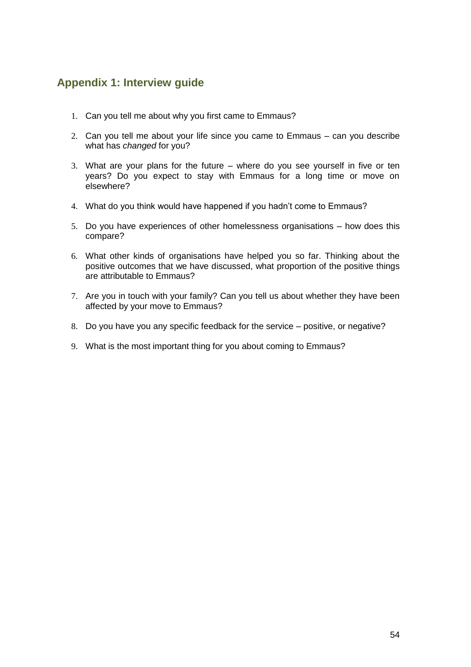# **Appendix 1: Interview guide**

- 1. Can you tell me about why you first came to Emmaus?
- 2. Can you tell me about your life since you came to Emmaus can you describe what has *changed* for you?
- 3. What are your plans for the future where do you see yourself in five or ten years? Do you expect to stay with Emmaus for a long time or move on elsewhere?
- 4. What do you think would have happened if you hadn't come to Emmaus?
- 5. Do you have experiences of other homelessness organisations how does this compare?
- 6. What other kinds of organisations have helped you so far. Thinking about the positive outcomes that we have discussed, what proportion of the positive things are attributable to Emmaus?
- 7. Are you in touch with your family? Can you tell us about whether they have been affected by your move to Emmaus?
- 8. Do you have you any specific feedback for the service positive, or negative?
- 9. What is the most important thing for you about coming to Emmaus?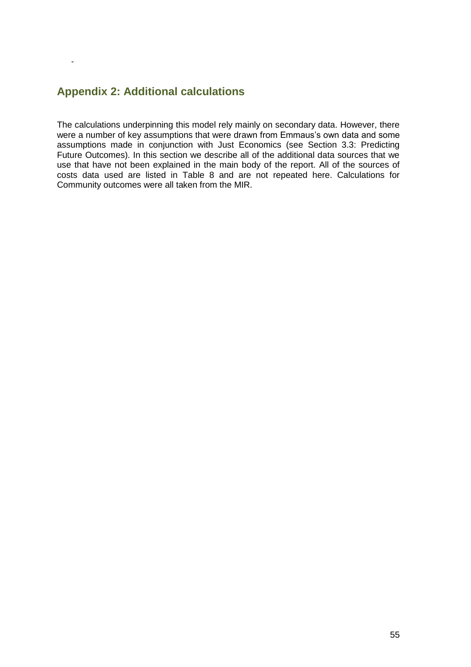# **Appendix 2: Additional calculations**

-

The calculations underpinning this model rely mainly on secondary data. However, there were a number of key assumptions that were drawn from Emmaus's own data and some assumptions made in conjunction with Just Economics (see Section 3.3: Predicting Future Outcomes). In this section we describe all of the additional data sources that we use that have not been explained in the main body of the report. All of the sources of costs data used are listed in Table 8 and are not repeated here. Calculations for Community outcomes were all taken from the MIR.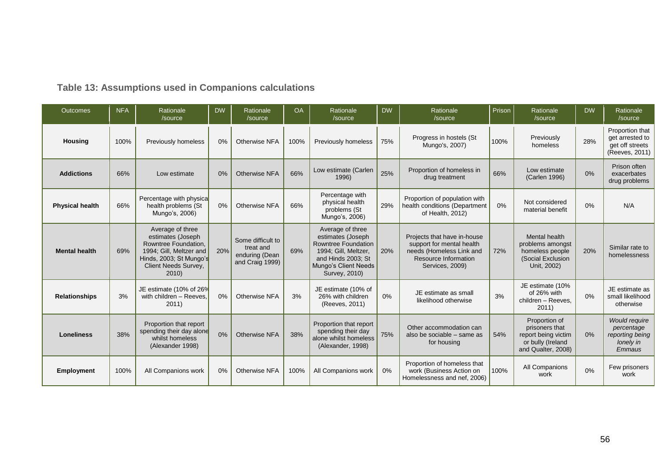# **Table 13: Assumptions used in Companions calculations**

| <b>Outcomes</b>        | <b>NFA</b> | Rationale<br>/source                                                                                                                                | <b>DW</b> | Rationale<br>/source                                                | <b>OA</b> | Rationale<br>/source                                                                                                                                | <b>DW</b> | Rationale<br>/source                                                                                                            | Prison | Rationale<br>/source                                                                              | <b>DW</b> | Rationale<br>/source                                                         |
|------------------------|------------|-----------------------------------------------------------------------------------------------------------------------------------------------------|-----------|---------------------------------------------------------------------|-----------|-----------------------------------------------------------------------------------------------------------------------------------------------------|-----------|---------------------------------------------------------------------------------------------------------------------------------|--------|---------------------------------------------------------------------------------------------------|-----------|------------------------------------------------------------------------------|
| <b>Housing</b>         | 100%       | Previously homeless                                                                                                                                 | 0%        | Otherwise NFA                                                       | 100%      | Previously homeless                                                                                                                                 | 75%       | Progress in hostels (St<br>Mungo's, 2007)                                                                                       | 100%   | Previously<br>homeless                                                                            | 28%       | Proportion that<br>get arrested to<br>get off streets<br>(Reeves, 2011)      |
| <b>Addictions</b>      | 66%        | Low estimate                                                                                                                                        | 0%        | Otherwise NFA                                                       | 66%       | Low estimate (Carlen<br>1996)                                                                                                                       | 25%       | Proportion of homeless in<br>drug treatment                                                                                     | 66%    | Low estimate<br>(Carlen 1996)                                                                     | 0%        | Prison often<br>exacerbates<br>drug problems                                 |
| <b>Physical health</b> | 66%        | Percentage with physical<br>health problems (St<br>Mungo's, 2006)                                                                                   | 0%        | Otherwise NFA                                                       | 66%       | Percentage with<br>physical health<br>problems (St<br>Mungo's, 2006)                                                                                | 29%       | Proportion of population with<br>health conditions (Department<br>of Health, 2012)                                              | 0%     | Not considered<br>material benefit                                                                | 0%        | N/A                                                                          |
| <b>Mental health</b>   | 69%        | Average of three<br>estimates (Joseph<br>Rowntree Foundation.<br>1994; Gill, Meltzer and<br>Hinds, 2003; St Mungo's<br>Client Needs Survey,<br>2010 | 20%       | Some difficult to<br>treat and<br>enduring (Dean<br>and Craig 1999) | 69%       | Average of three<br>estimates (Joseph<br>Rowntree Foundation<br>1994; Gill, Meltzer,<br>and Hinds 2003; St<br>Mungo's Client Needs<br>Survey, 2010) | 20%       | Projects that have in-house<br>support for mental health<br>needs (Homeless Link and<br>Resource Information<br>Services, 2009) | 72%    | Mental health<br>problems amongst<br>homeless people<br>(Social Exclusion<br>Unit, 2002)          | 20%       | Similar rate to<br>homelessness                                              |
| <b>Relationships</b>   | 3%         | JE estimate (10% of 26%<br>with children - Reeves.<br>2011)                                                                                         | 0%        | Otherwise NFA                                                       | 3%        | JE estimate (10% of<br>26% with children<br>(Reeves, 2011)                                                                                          | 0%        | JE estimate as small<br>likelihood otherwise                                                                                    | 3%     | JE estimate (10%<br>of 26% with<br>children - Reeves.<br>2011)                                    | 0%        | JE estimate as<br>small likelihood<br>otherwise                              |
| <b>Loneliness</b>      | 38%        | Proportion that report<br>spending their day alone<br>whilst homeless<br>(Alexander 1998)                                                           | 0%        | Otherwise NFA                                                       | 38%       | Proportion that report<br>spending their day<br>alone whilst homeless<br>(Alexander, 1998)                                                          | 75%       | Other accommodation can<br>also be sociable - same as<br>for housing                                                            | 54%    | Proportion of<br>prisoners that<br>report being victim<br>or bully (Ireland<br>and Qualter, 2008) | 0%        | <b>Would require</b><br>percentage<br>reporting being<br>lonely in<br>Emmaus |
| <b>Employment</b>      | 100%       | All Companions work                                                                                                                                 | $0\%$     | Otherwise NFA                                                       | 100%      | All Companions work                                                                                                                                 | $0\%$     | Proportion of homeless that<br>work (Business Action on<br>Homelessness and nef, 2006)                                          | 100%   | All Companions<br>work                                                                            | 0%        | Few prisoners<br>work                                                        |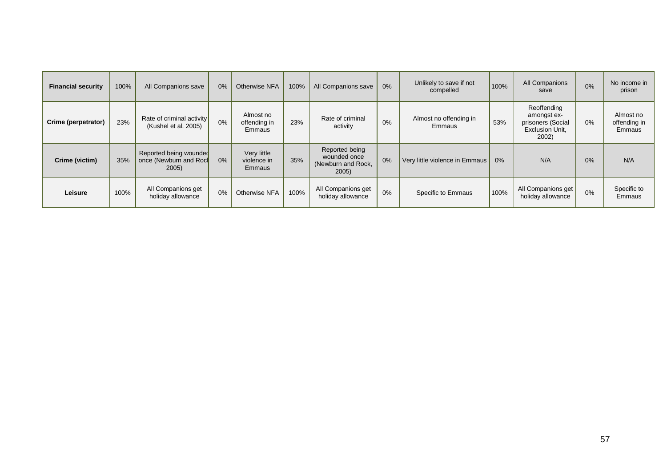| <b>Financial security</b> | 100% | All Companions save                                       | $0\%$ | Otherwise NFA                        | 100% | All Companions save                                           | 0%    | Unlikely to save if not<br>compelled | 100% | All Companions<br>save                                                      | 0%    | No income in<br>prison              |
|---------------------------|------|-----------------------------------------------------------|-------|--------------------------------------|------|---------------------------------------------------------------|-------|--------------------------------------|------|-----------------------------------------------------------------------------|-------|-------------------------------------|
| Crime (perpetrator)       | 23%  | Rate of criminal activity<br>(Kushel et al. 2005)         | 0%    | Almost no<br>offending in<br>Emmaus  | 23%  | Rate of criminal<br>activity                                  | 0%    | Almost no offending in<br>Emmaus     | 53%  | Reoffending<br>amongst ex-<br>prisoners (Social<br>Exclusion Unit.<br>2002) | $0\%$ | Almost no<br>offending in<br>Emmaus |
| Crime (victim)            | 35%  | Reported being wounded<br>once (Newburn and Rock<br>2005) | $0\%$ | Very little<br>violence in<br>Emmaus | 35%  | Reported being<br>wounded once<br>(Newburn and Rock,<br>2005) | 0%    | Very little violence in Emmaus       | 0%   | N/A                                                                         | 0%    | N/A                                 |
| Leisure                   | 100% | All Companions get<br>holiday allowance                   | 0%    | Otherwise NFA                        | 100% | All Companions get<br>holiday allowance                       | $0\%$ | Specific to Emmaus                   | 100% | All Companions get<br>holiday allowance                                     | 0%    | Specific to<br>Emmaus               |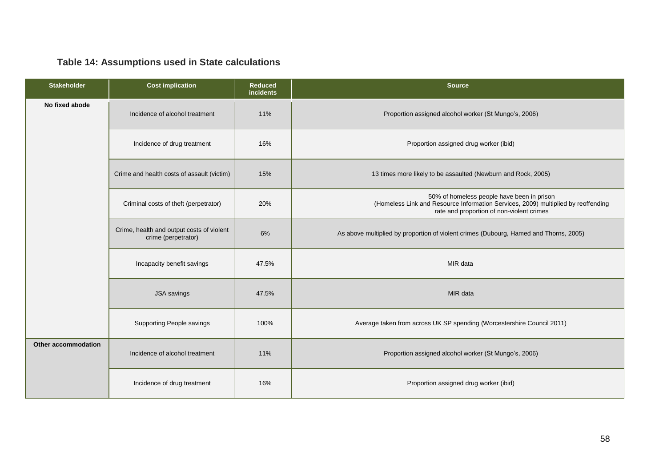# **Table 14: Assumptions used in State calculations**

| <b>Stakeholder</b>  | <b>Cost implication</b>                                          | <b>Reduced</b><br>incidents | <b>Source</b>                                                                                                                                                                |
|---------------------|------------------------------------------------------------------|-----------------------------|------------------------------------------------------------------------------------------------------------------------------------------------------------------------------|
| No fixed abode      | Incidence of alcohol treatment                                   | 11%                         | Proportion assigned alcohol worker (St Mungo's, 2006)                                                                                                                        |
|                     | Incidence of drug treatment                                      | 16%                         | Proportion assigned drug worker (ibid)                                                                                                                                       |
|                     | Crime and health costs of assault (victim)                       | 15%                         | 13 times more likely to be assaulted (Newburn and Rock, 2005)                                                                                                                |
|                     | Criminal costs of theft (perpetrator)                            | 20%                         | 50% of homeless people have been in prison<br>(Homeless Link and Resource Information Services, 2009) multiplied by reoffending<br>rate and proportion of non-violent crimes |
|                     | Crime, health and output costs of violent<br>crime (perpetrator) | 6%                          | As above multiplied by proportion of violent crimes (Dubourg, Hamed and Thorns, 2005)                                                                                        |
|                     | Incapacity benefit savings                                       | 47.5%                       | MIR data                                                                                                                                                                     |
|                     | <b>JSA</b> savings                                               | 47.5%                       | MIR data                                                                                                                                                                     |
|                     | Supporting People savings                                        | 100%                        | Average taken from across UK SP spending (Worcestershire Council 2011)                                                                                                       |
| Other accommodation | Incidence of alcohol treatment                                   | 11%                         | Proportion assigned alcohol worker (St Mungo's, 2006)                                                                                                                        |
|                     | Incidence of drug treatment                                      | 16%                         | Proportion assigned drug worker (ibid)                                                                                                                                       |